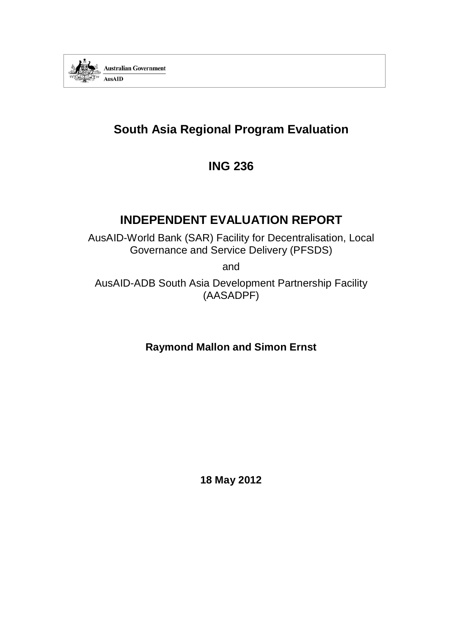

# **South Asia Regional Program Evaluation**

# **ING 236**

# **INDEPENDENT EVALUATION REPORT**

AusAID-World Bank (SAR) Facility for Decentralisation, Local Governance and Service Delivery (PFSDS)

and

AusAID-ADB South Asia Development Partnership Facility (AASADPF)

**Raymond Mallon and Simon Ernst**

<span id="page-0-0"></span>**18 May 2012**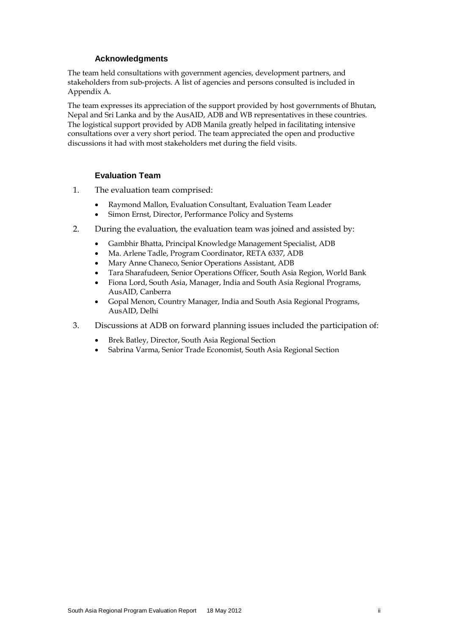#### **Acknowledgments**

The team held consultations with government agencies, development partners, and stakeholders from sub-projects. A list of agencies and persons consulted is included in Appendix A.

The team expresses its appreciation of the support provided by host governments of Bhutan, Nepal and Sri Lanka and by the AusAID, ADB and WB representatives in these countries. The logistical support provided by ADB Manila greatly helped in facilitating intensive consultations over a very short period. The team appreciated the open and productive discussions it had with most stakeholders met during the field visits.

#### **Evaluation Team**

- 1. The evaluation team comprised:
	- Raymond Mallon, Evaluation Consultant, Evaluation Team Leader
	- Simon Ernst, Director, Performance Policy and Systems
- 2. During the evaluation, the evaluation team was joined and assisted by:
	- Gambhir Bhatta, Principal Knowledge Management Specialist, ADB
	- Ma. Arlene Tadle, Program Coordinator, RETA 6337, ADB
	- Mary Anne Chaneco, Senior Operations Assistant, ADB
	- Tara Sharafudeen, Senior Operations Officer, South Asia Region, World Bank
	- Fiona Lord, South Asia, Manager, India and South Asia Regional Programs, AusAID, Canberra
	- Gopal Menon, Country Manager, India and South Asia Regional Programs, AusAID, Delhi
- 3. Discussions at ADB on forward planning issues included the participation of:
	- Brek Batley, Director, South Asia Regional Section
	- Sabrina Varma, Senior Trade Economist, South Asia Regional Section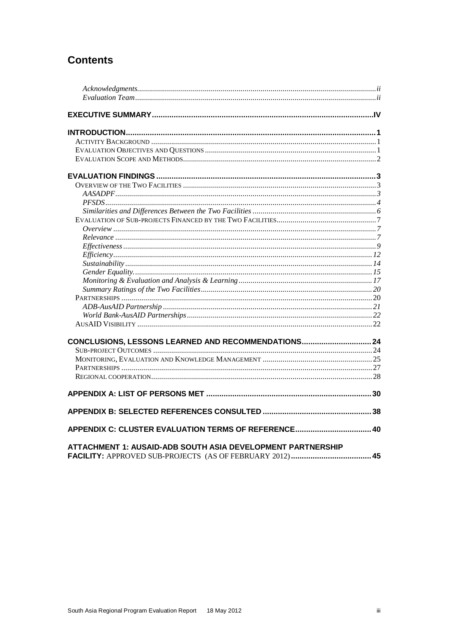# **Contents**

| CONCLUSIONS, LESSONS LEARNED AND RECOMMENDATIONS 24         |  |
|-------------------------------------------------------------|--|
|                                                             |  |
|                                                             |  |
|                                                             |  |
|                                                             |  |
|                                                             |  |
|                                                             |  |
| APPENDIX C: CLUSTER EVALUATION TERMS OF REFERENCE 40        |  |
| ATTACHMENT 1: AUSAID-ADB SOUTH ASIA DEVELOPMENT PARTNERSHIP |  |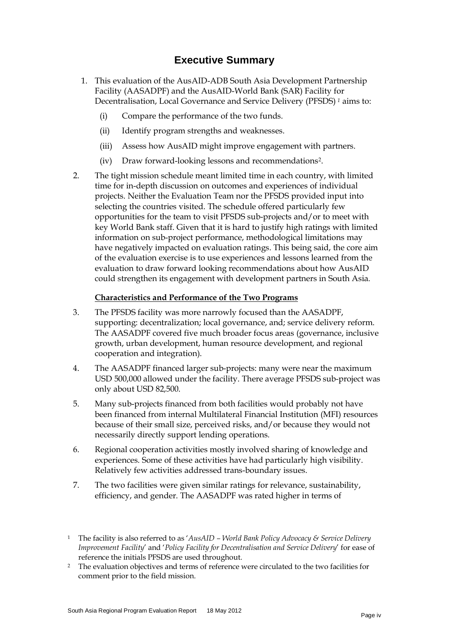# **Executive Summary**

- 1. This evaluation of the AusAID-ADB South Asia Development Partnership Facility (AASADPF) and the AusAID-World Bank (SAR) Facility for Decentralisation, Local Governance and Service Delivery (PFSDS) *[1](#page-0-0)* aims to:
	- (i) Compare the performance of the two funds.
	- (ii) Identify program strengths and weaknesses.
	- (iii) Assess how AusAID might improve engagement with partners.
	- (iv) Draw forward-looking lessons and recommendation[s2](#page-3-0).
- 2. The tight mission schedule meant limited time in each country, with limited time for in-depth discussion on outcomes and experiences of individual projects. Neither the Evaluation Team nor the PFSDS provided input into selecting the countries visited. The schedule offered particularly few opportunities for the team to visit PFSDS sub-projects and/or to meet with key World Bank staff. Given that it is hard to justify high ratings with limited information on sub-project performance, methodological limitations may have negatively impacted on evaluation ratings. This being said, the core aim of the evaluation exercise is to use experiences and lessons learned from the evaluation to draw forward looking recommendations about how AusAID could strengthen its engagement with development partners in South Asia.

#### **Characteristics and Performance of the Two Programs**

- 3. The PFSDS facility was more narrowly focused than the AASADPF, supporting: decentralization; local governance, and; service delivery reform. The AASADPF covered five much broader focus areas (governance, inclusive growth, urban development, human resource development, and regional cooperation and integration).
- 4. The AASADPF financed larger sub-projects: many were near the maximum USD 500,000 allowed under the facility. There average PFSDS sub-project was only about USD 82,500.
- 5. Many sub-projects financed from both facilities would probably not have been financed from internal Multilateral Financial Institution (MFI) resources because of their small size, perceived risks, and/or because they would not necessarily directly support lending operations.
- <span id="page-3-1"></span>6. Regional cooperation activities mostly involved sharing of knowledge and experiences. Some of these activities have had particularly high visibility. Relatively few activities addressed trans-boundary issues.
- 7. The two facilities were given similar ratings for relevance, sustainability, efficiency, and gender. The AASADPF was rated higher in terms of

<span id="page-3-0"></span><sup>2</sup> The evaluation objectives and terms of reference were circulated to the two facilities for comment prior to the field mission.

<sup>1</sup> The facility is also referred to as '*AusAID – World Bank Policy Advocacy & Service Delivery Improvement Facility*' and '*Policy Facility for Decentralisation and Service Delivery*' for ease of reference the initials PFSDS are used throughout.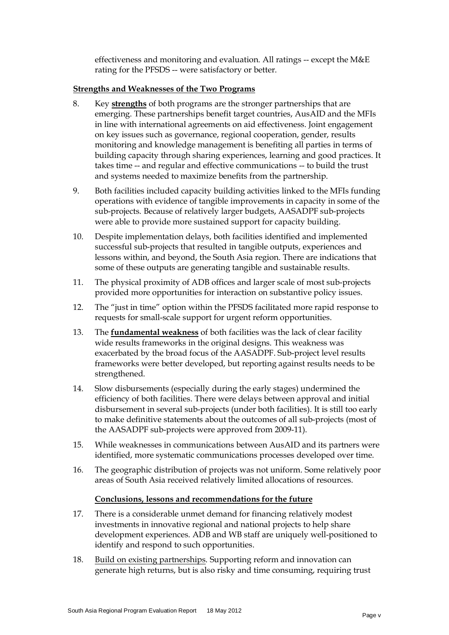effectiveness and monitoring and evaluation. All ratings -- except the M&E rating for the PFSDS -- were satisfactory or better.

#### **Strengths and Weaknesses of the Two Programs**

- 8. Key **strengths** of both programs are the stronger partnerships that are emerging. These partnerships benefit target countries, AusAID and the MFIs in line with international agreements on aid effectiveness. Joint engagement on key issues such as governance, regional cooperation, gender, results monitoring and knowledge management is benefiting all parties in terms of building capacity through sharing experiences, learning and good practices. It takes time -- and regular and effective communications -- to build the trust and systems needed to maximize benefits from the partnership.
- 9. Both facilities included capacity building activities linked to the MFIs funding operations with evidence of tangible improvements in capacity in some of the sub-projects. Because of relatively larger budgets, AASADPF sub-projects were able to provide more sustained support for capacity building.
- 10. Despite implementation delays, both facilities identified and implemented successful sub-projects that resulted in tangible outputs, experiences and lessons within, and beyond, the South Asia region. There are indications that some of these outputs are generating tangible and sustainable results.
- 11. The physical proximity of ADB offices and larger scale of most sub-projects provided more opportunities for interaction on substantive policy issues.
- 12. The "just in time" option within the PFSDS facilitated more rapid response to requests for small-scale support for urgent reform opportunities.
- 13. The **fundamental weakness** of both facilities was the lack of clear facility wide results frameworks in the original designs. This weakness was exacerbated by the broad focus of the AASADPF. Sub-project level results frameworks were better developed, but reporting against results needs to be strengthened.
- 14. Slow disbursements (especially during the early stages) undermined the efficiency of both facilities. There were delays between approval and initial disbursement in several sub-projects (under both facilities). It is still too early to make definitive statements about the outcomes of all sub-projects (most of the AASADPF sub-projects were approved from 2009-11).
- 15. While weaknesses in communications between AusAID and its partners were identified, more systematic communications processes developed over time.
- 16. The geographic distribution of projects was not uniform. Some relatively poor areas of South Asia received relatively limited allocations of resources.

#### **Conclusions, lessons and recommendations for the future**

- 17. There is a considerable unmet demand for financing relatively modest investments in innovative regional and national projects to help share development experiences. ADB and WB staff are uniquely well-positioned to identify and respond to such opportunities.
- 18. Build on existing partnerships. Supporting reform and innovation can generate high returns, but is also risky and time consuming, requiring trust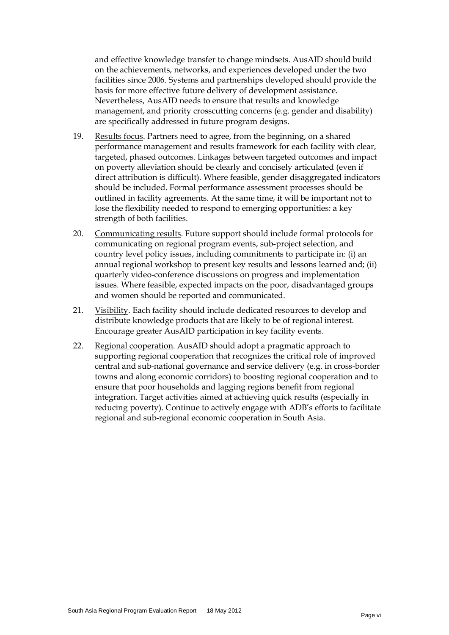and effective knowledge transfer to change mindsets. AusAID should build on the achievements, networks, and experiences developed under the two facilities since 2006. Systems and partnerships developed should provide the basis for more effective future delivery of development assistance. Nevertheless, AusAID needs to ensure that results and knowledge management, and priority crosscutting concerns (e.g. gender and disability) are specifically addressed in future program designs.

- 19. Results focus. Partners need to agree, from the beginning, on a shared performance management and results framework for each facility with clear, targeted, phased outcomes. Linkages between targeted outcomes and impact on poverty alleviation should be clearly and concisely articulated (even if direct attribution is difficult). Where feasible, gender disaggregated indicators should be included. Formal performance assessment processes should be outlined in facility agreements. At the same time, it will be important not to lose the flexibility needed to respond to emerging opportunities: a key strength of both facilities.
- 20. Communicating results. Future support should include formal protocols for communicating on regional program events, sub-project selection, and country level policy issues, including commitments to participate in: (i) an annual regional workshop to present key results and lessons learned and; (ii) quarterly video-conference discussions on progress and implementation issues. Where feasible, expected impacts on the poor, disadvantaged groups and women should be reported and communicated.
- 21. Visibility. Each facility should include dedicated resources to develop and distribute knowledge products that are likely to be of regional interest. Encourage greater AusAID participation in key facility events.
- 22. Regional cooperation. AusAID should adopt a pragmatic approach to supporting regional cooperation that recognizes the critical role of improved central and sub-national governance and service delivery (e.g. in cross-border towns and along economic corridors) to boosting regional cooperation and to ensure that poor households and lagging regions benefit from regional integration. Target activities aimed at achieving quick results (especially in reducing poverty). Continue to actively engage with ADB's efforts to facilitate regional and sub-regional economic cooperation in South Asia.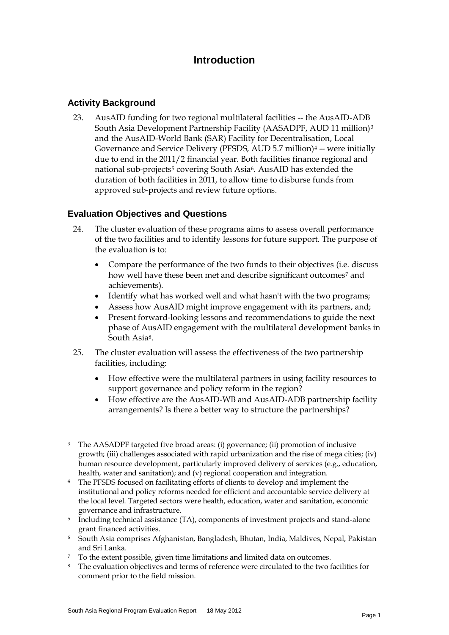# **Introduction**

# **Activity Background**

23. AusAID funding for two regional multilateral facilities -- the AusAID-ADB South Asia Development Partnership Facility (AASADPF, AUD 11 million)[3](#page-3-1) and the AusAID-World Bank (SAR) Facility for Decentralisation, Local Governance and Service Delivery (PFSDS, AUD 5.7 million)<sup>[4](#page-6-0)</sup> -- were initially due to end in the 2011/2 financial year. Both facilities finance regional and national sub-projects<sup>[5](#page-6-1)</sup> covering South Asia<sup>[6](#page-6-2)</sup>. AusAID has extended the duration of both facilities in 2011, to allow time to disburse funds from approved sub-projects and review future options.

# **Evaluation Objectives and Questions**

- 24. The cluster evaluation of these programs aims to assess overall performance of the two facilities and to identify lessons for future support. The purpose of the evaluation is to:
	- Compare the performance of the two funds to their objectives (i.e. discuss how well have these been met and describe significant outcomes<sup>[7](#page-6-3)</sup> and achievements).
	- Identify what has worked well and what hasn't with the two programs;
	- Assess how AusAID might improve engagement with its partners, and;
	- Present forward-looking lessons and recommendations to guide the next phase of AusAID engagement with the multilateral development banks in South Asi[a8.](#page-6-4)
- 25. The cluster evaluation will assess the effectiveness of the two partnership facilities, including:
	- How effective were the multilateral partners in using facility resources to support governance and policy reform in the region?
	- How effective are the AusAID-WB and AusAID-ADB partnership facility arrangements? Is there a better way to structure the partnerships?
- <sup>3</sup> The AASADPF targeted five broad areas: (i) governance; (ii) promotion of inclusive growth; (iii) challenges associated with rapid urbanization and the rise of mega cities; (iv) human resource development, particularly improved delivery of services (e.g., education, health, water and sanitation); and (v) regional cooperation and integration.
- <span id="page-6-0"></span><sup>4</sup> The PFSDS focused on facilitating efforts of clients to develop and implement the institutional and policy reforms needed for efficient and accountable service delivery at the local level. Targeted sectors were health, education, water and sanitation, economic governance and infrastructure.
- <span id="page-6-1"></span><sup>5</sup> Including technical assistance (TA), components of investment projects and stand-alone grant financed activities.
- <span id="page-6-2"></span>6 South Asia comprises Afghanistan, Bangladesh, Bhutan, India, Maldives, Nepal, Pakistan and Sri Lanka.
- <span id="page-6-3"></span><sup>7</sup> To the extent possible, given time limitations and limited data on outcomes.
- <span id="page-6-4"></span><sup>8</sup> The evaluation objectives and terms of reference were circulated to the two facilities for comment prior to the field mission.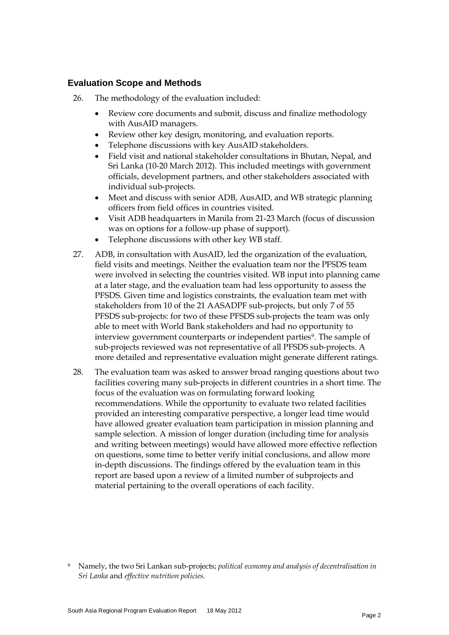# **Evaluation Scope and Methods**

- 26. The methodology of the evaluation included:
	- Review core documents and submit, discuss and finalize methodology with AusAID managers.
	- Review other key design, monitoring, and evaluation reports.
	- Telephone discussions with key AusAID stakeholders.
	- Field visit and national stakeholder consultations in Bhutan, Nepal, and Sri Lanka (10-20 March 2012). This included meetings with government officials, development partners, and other stakeholders associated with individual sub-projects.
	- Meet and discuss with senior ADB, AusAID, and WB strategic planning officers from field offices in countries visited.
	- Visit ADB headquarters in Manila from 21-23 March (focus of discussion was on options for a follow-up phase of support).
	- Telephone discussions with other key WB staff.
- 27. ADB, in consultation with AusAID, led the organization of the evaluation, field visits and meetings. Neither the evaluation team nor the PFSDS team were involved in selecting the countries visited. WB input into planning came at a later stage, and the evaluation team had less opportunity to assess the PFSDS. Given time and logistics constraints, the evaluation team met with stakeholders from 10 of the 21 AASADPF sub-projects, but only 7 of 55 PFSDS sub-projects: for two of these PFSDS sub-projects the team was only able to meet with World Bank stakeholders and had no opportunity to interview government counterparts or independent parties<sup>9</sup>. The sample of sub-projects reviewed was not representative of all PFSDS sub-projects. A more detailed and representative evaluation might generate different ratings.
- 28. The evaluation team was asked to answer broad ranging questions about two facilities covering many sub-projects in different countries in a short time. The focus of the evaluation was on formulating forward looking recommendations. While the opportunity to evaluate two related facilities provided an interesting comparative perspective, a longer lead time would have allowed greater evaluation team participation in mission planning and sample selection. A mission of longer duration (including time for analysis and writing between meetings) would have allowed more effective reflection on questions, some time to better verify initial conclusions, and allow more in-depth discussions. The findings offered by the evaluation team in this report are based upon a review of a limited number of subprojects and material pertaining to the overall operations of each facility.

<span id="page-7-0"></span><sup>9</sup> Namely, the two Sri Lankan sub-projects; *political economy and analysis of decentralisation in Sri Lanka* and *effective nutrition policies*.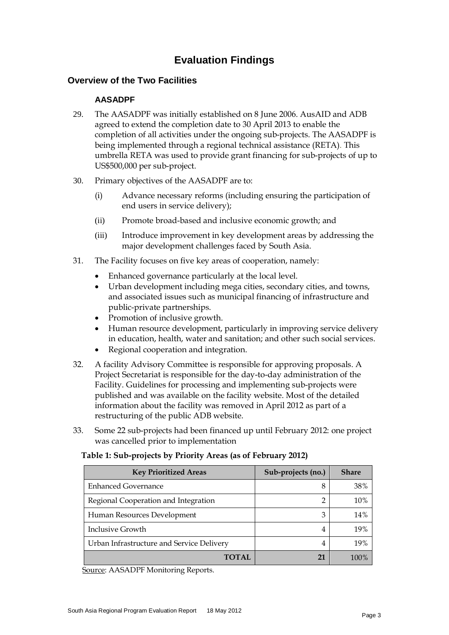# **Evaluation Findings**

# **Overview of the Two Facilities**

### **AASADPF**

- 29. The AASADPF was initially established on 8 June 2006. AusAID and ADB agreed to extend the completion date to 30 April 2013 to enable the completion of all activities under the ongoing sub-projects. The AASADPF is being implemented through a regional technical assistance (RETA). This umbrella RETA was used to provide grant financing for sub-projects of up to US\$500,000 per sub-project.
- 30. Primary objectives of the AASADPF are to:
	- (i) Advance necessary reforms (including ensuring the participation of end users in service delivery);
	- (ii) Promote broad-based and inclusive economic growth; and
	- (iii) Introduce improvement in key development areas by addressing the major development challenges faced by South Asia.
- 31. The Facility focuses on five key areas of cooperation, namely:
	- Enhanced governance particularly at the local level.
	- Urban development including mega cities, secondary cities, and towns, and associated issues such as municipal financing of infrastructure and public-private partnerships.
	- Promotion of inclusive growth.
	- Human resource development, particularly in improving service delivery in education, health, water and sanitation; and other such social services.
	- Regional cooperation and integration.
- 32. A facility Advisory Committee is responsible for approving proposals. A Project Secretariat is responsible for the day-to-day administration of the Facility. Guidelines for processing and implementing sub-projects were published and was available on the facility website. Most of the detailed information about the facility was removed in April 2012 as part of a restructuring of the public ADB website.
- 33. Some 22 sub-projects had been financed up until February 2012: one project was cancelled prior to implementation

#### **Table 1: Sub-projects by Priority Areas (as of February 2012)**

| <b>Key Prioritized Areas</b>              | Sub-projects (no.) | <b>Share</b> |
|-------------------------------------------|--------------------|--------------|
| <b>Enhanced Governance</b>                | 8                  | 38%          |
| Regional Cooperation and Integration      | 2                  | 10%          |
| Human Resources Development               | 3                  | 14%          |
| <b>Inclusive Growth</b>                   | 4                  | 19%          |
| Urban Infrastructure and Service Delivery | 4                  | 19%          |
| TOTAL                                     | 21                 | 100%         |

Source: AASADPF Monitoring Reports.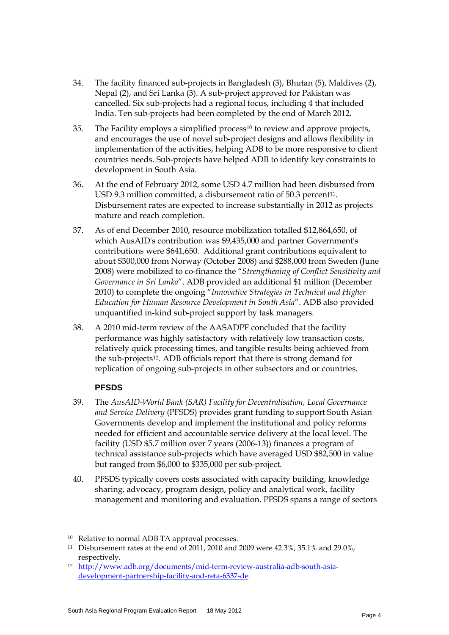- 34. The facility financed sub-projects in Bangladesh (3), Bhutan (5), Maldives (2), Nepal (2), and Sri Lanka (3). A sub-project approved for Pakistan was cancelled. Six sub-projects had a regional focus, including 4 that included India. Ten sub-projects had been completed by the end of March 2012.
- 35. The Facility employs a simplified process[10](#page-7-0) to review and approve projects, and encourages the use of novel sub-project designs and allows flexibility in implementation of the activities, helping ADB to be more responsive to client countries needs. Sub-projects have helped ADB to identify key constraints to development in South Asia.
- 36. At the end of February 2012, some USD 4.7 million had been disbursed from USD 9.3 million committed, a disbursement ratio of 50.3 percent<sup>11</sup>. Disbursement rates are expected to increase substantially in 2012 as projects mature and reach completion.
- 37. As of end December 2010, resource mobilization totalled \$12,864,650, of which AusAID's contribution was \$9,435,000 and partner Government's contributions were \$641,650. Additional grant contributions equivalent to about \$300,000 from Norway (October 2008) and \$288,000 from Sweden (June 2008) were mobilized to co-finance the "*Strengthening of Conflict Sensitivity and Governance in Sri Lanka*". ADB provided an additional \$1 million (December 2010) to complete the ongoing "*Innovative Strategies in Technical and Higher Education for Human Resource Development in South Asia*". ADB also provided unquantified in-kind sub-project support by task managers.
- 38. A 2010 mid-term review of the AASADPF concluded that the facility performance was highly satisfactory with relatively low transaction costs, relatively quick processing times, and tangible results being achieved from the sub-projects[12](#page-9-1). ADB officials report that there is strong demand for replication of ongoing sub-projects in other subsectors and or countries.

# **PFSDS**

- 39. The *AusAID-World Bank (SAR) Facility for Decentralisation, Local Governance and Service Delivery* (PFSDS) provides grant funding to support South Asian Governments develop and implement the institutional and policy reforms needed for efficient and accountable service delivery at the local level. The facility (USD \$5.7 million over 7 years (2006-13)) finances a program of technical assistance sub-projects which have averaged USD \$82,500 in value but ranged from \$6,000 to \$335,000 per sub-project.
- 40. PFSDS typically covers costs associated with capacity building, knowledge sharing, advocacy, program design, policy and analytical work, facility management and monitoring and evaluation. PFSDS spans a range of sectors

<sup>10</sup> Relative to normal ADB TA approval processes.

<span id="page-9-0"></span><sup>11</sup> Disbursement rates at the end of 2011, 2010 and 2009 were 42.3%, 35.1% and 29.0%, respectively.

<span id="page-9-1"></span><sup>12</sup> [http://www.adb.org/documents/mid-term-review-australia-adb-south-asia](http://www.adb.org/documents/mid-term-review-australia-adb-south-asia-development-partnership-facility-and-reta-6337-de)[development-partnership-facility-and-reta-6337-de](http://www.adb.org/documents/mid-term-review-australia-adb-south-asia-development-partnership-facility-and-reta-6337-de)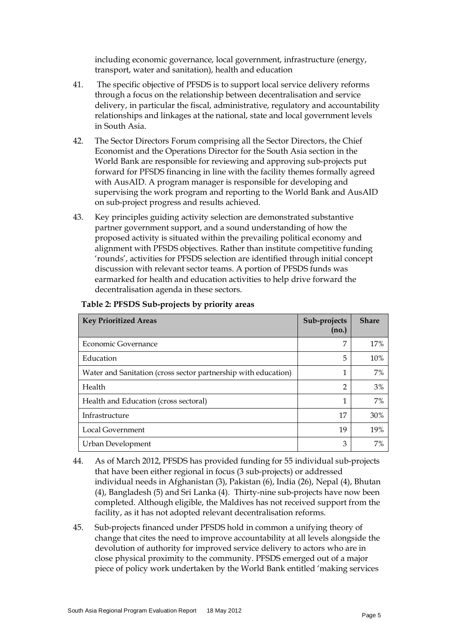including economic governance, local government, infrastructure (energy, transport, water and sanitation), health and education

- 41. The specific objective of PFSDS is to support local service delivery reforms through a focus on the relationship between decentralisation and service delivery, in particular the fiscal, administrative, regulatory and accountability relationships and linkages at the national, state and local government levels in South Asia.
- 42. The Sector Directors Forum comprising all the Sector Directors, the Chief Economist and the Operations Director for the South Asia section in the World Bank are responsible for reviewing and approving sub-projects put forward for PFSDS financing in line with the facility themes formally agreed with AusAID. A program manager is responsible for developing and supervising the work program and reporting to the World Bank and AusAID on sub-project progress and results achieved.
- 43. Key principles guiding activity selection are demonstrated substantive partner government support, and a sound understanding of how the proposed activity is situated within the prevailing political economy and alignment with PFSDS objectives. Rather than institute competitive funding 'rounds', activities for PFSDS selection are identified through initial concept discussion with relevant sector teams. A portion of PFSDS funds was earmarked for health and education activities to help drive forward the decentralisation agenda in these sectors.

| <b>Key Prioritized Areas</b>                                   | Sub-projects<br>(no.) | <b>Share</b> |
|----------------------------------------------------------------|-----------------------|--------------|
| Economic Governance                                            | 7                     | 17%          |
| Education                                                      | 5                     | 10%          |
| Water and Sanitation (cross sector partnership with education) | 1                     | 7%           |
| Health                                                         | $\overline{2}$        | 3%           |
| Health and Education (cross sectoral)                          | 1                     | 7%           |
| Infrastructure                                                 | 17                    | 30%          |
| Local Government                                               | 19                    | 19%          |
| Urban Development                                              | 3                     | 7%           |

#### **Table 2: PFSDS Sub-projects by priority areas**

- 44. As of March 2012, PFSDS has provided funding for 55 individual sub-projects that have been either regional in focus (3 sub-projects) or addressed individual needs in Afghanistan (3), Pakistan (6), India (26), Nepal (4), Bhutan (4), Bangladesh (5) and Sri Lanka (4). Thirty-nine sub-projects have now been completed. Although eligible, the Maldives has not received support from the facility, as it has not adopted relevant decentralisation reforms.
- 45. Sub-projects financed under PFSDS hold in common a unifying theory of change that cites the need to improve accountability at all levels alongside the devolution of authority for improved service delivery to actors who are in close physical proximity to the community. PFSDS emerged out of a major piece of policy work undertaken by the World Bank entitled 'making services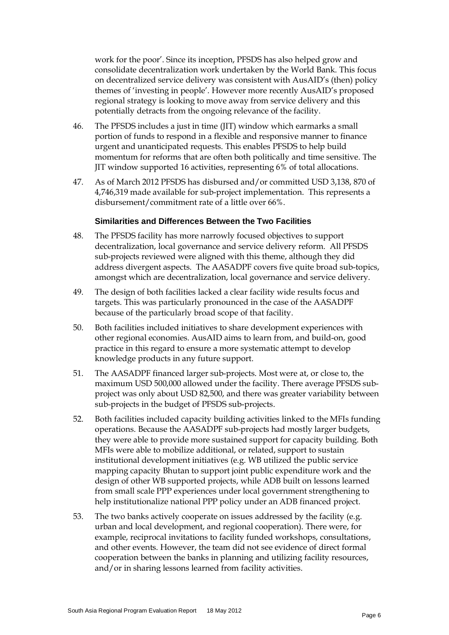work for the poor'. Since its inception, PFSDS has also helped grow and consolidate decentralization work undertaken by the World Bank. This focus on decentralized service delivery was consistent with AusAID's (then) policy themes of 'investing in people'. However more recently AusAID's proposed regional strategy is looking to move away from service delivery and this potentially detracts from the ongoing relevance of the facility.

- 46. The PFSDS includes a just in time (JIT) window which earmarks a small portion of funds to respond in a flexible and responsive manner to finance urgent and unanticipated requests. This enables PFSDS to help build momentum for reforms that are often both politically and time sensitive. The JIT window supported 16 activities, representing 6% of total allocations.
- 47. As of March 2012 PFSDS has disbursed and/or committed USD 3,138, 870 of 4,746,319 made available for sub-project implementation. This represents a disbursement/commitment rate of a little over 66%.

# **Similarities and Differences Between the Two Facilities**

- 48. The PFSDS facility has more narrowly focused objectives to support decentralization, local governance and service delivery reform. All PFSDS sub-projects reviewed were aligned with this theme, although they did address divergent aspects. The AASADPF covers five quite broad sub-topics, amongst which are decentralization, local governance and service delivery.
- 49. The design of both facilities lacked a clear facility wide results focus and targets. This was particularly pronounced in the case of the AASADPF because of the particularly broad scope of that facility.
- 50. Both facilities included initiatives to share development experiences with other regional economies. AusAID aims to learn from, and build-on, good practice in this regard to ensure a more systematic attempt to develop knowledge products in any future support.
- 51. The AASADPF financed larger sub-projects. Most were at, or close to, the maximum USD 500,000 allowed under the facility. There average PFSDS subproject was only about USD 82,500, and there was greater variability between sub-projects in the budget of PFSDS sub-projects.
- 52. Both facilities included capacity building activities linked to the MFIs funding operations. Because the AASADPF sub-projects had mostly larger budgets, they were able to provide more sustained support for capacity building. Both MFIs were able to mobilize additional, or related, support to sustain institutional development initiatives (e.g. WB utilized the public service mapping capacity Bhutan to support joint public expenditure work and the design of other WB supported projects, while ADB built on lessons learned from small scale PPP experiences under local government strengthening to help institutionalize national PPP policy under an ADB financed project.
- 53. The two banks actively cooperate on issues addressed by the facility (e.g. urban and local development, and regional cooperation). There were, for example, reciprocal invitations to facility funded workshops, consultations, and other events. However, the team did not see evidence of direct formal cooperation between the banks in planning and utilizing facility resources, and/or in sharing lessons learned from facility activities.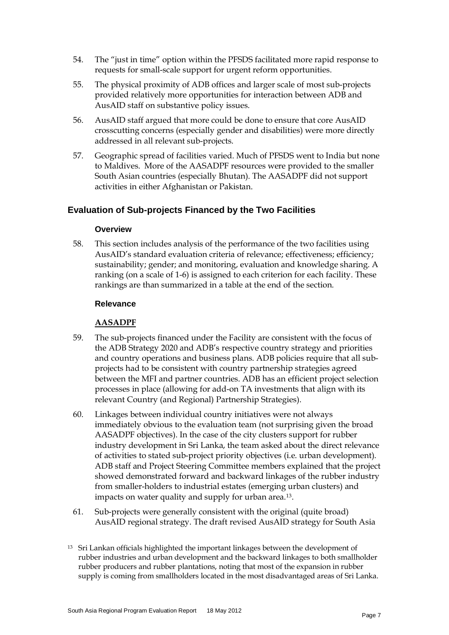- 54. The "just in time" option within the PFSDS facilitated more rapid response to requests for small-scale support for urgent reform opportunities.
- 55. The physical proximity of ADB offices and larger scale of most sub-projects provided relatively more opportunities for interaction between ADB and AusAID staff on substantive policy issues.
- 56. AusAID staff argued that more could be done to ensure that core AusAID crosscutting concerns (especially gender and disabilities) were more directly addressed in all relevant sub-projects.
- 57. Geographic spread of facilities varied. Much of PFSDS went to India but none to Maldives. More of the AASADPF resources were provided to the smaller South Asian countries (especially Bhutan). The AASADPF did not support activities in either Afghanistan or Pakistan.

# **Evaluation of Sub-projects Financed by the Two Facilities**

#### **Overview**

58. This section includes analysis of the performance of the two facilities using AusAID's standard evaluation criteria of relevance; effectiveness; efficiency; sustainability; gender; and monitoring, evaluation and knowledge sharing. A ranking (on a scale of 1-6) is assigned to each criterion for each facility. These rankings are than summarized in a table at the end of the section.

#### **Relevance**

#### **AASADPF**

- 59. The sub-projects financed under the Facility are consistent with the focus of the ADB Strategy 2020 and ADB's respective country strategy and priorities and country operations and business plans. ADB policies require that all subprojects had to be consistent with country partnership strategies agreed between the MFI and partner countries. ADB has an efficient project selection processes in place (allowing for add-on TA investments that align with its relevant Country (and Regional) Partnership Strategies).
- 60. Linkages between individual country initiatives were not always immediately obvious to the evaluation team (not surprising given the broad AASADPF objectives). In the case of the city clusters support for rubber industry development in Sri Lanka, the team asked about the direct relevance of activities to stated sub-project priority objectives (i.e. urban development). ADB staff and Project Steering Committee members explained that the project showed demonstrated forward and backward linkages of the rubber industry from smaller-holders to industrial estates (emerging urban clusters) and impacts on water quality and supply for urban area.[13.](#page-9-0)
- 61. Sub-projects were generally consistent with the original (quite broad) AusAID regional strategy. The draft revised AusAID strategy for South Asia
- <span id="page-12-0"></span><sup>13</sup> Sri Lankan officials highlighted the important linkages between the development of rubber industries and urban development and the backward linkages to both smallholder rubber producers and rubber plantations, noting that most of the expansion in rubber supply is coming from smallholders located in the most disadvantaged areas of Sri Lanka.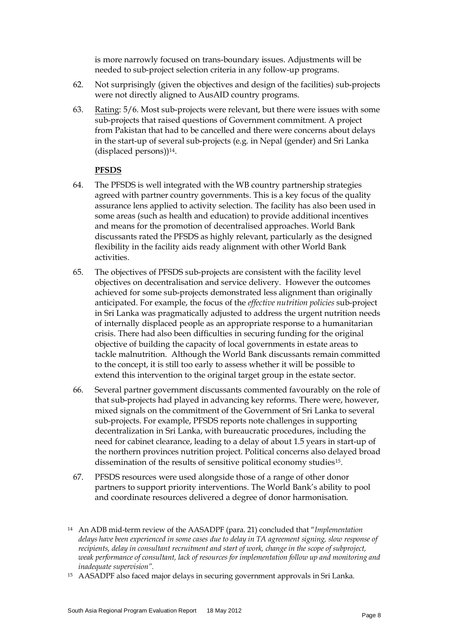is more narrowly focused on trans-boundary issues. Adjustments will be needed to sub-project selection criteria in any follow-up programs.

- 62. Not surprisingly (given the objectives and design of the facilities) sub-projects were not directly aligned to AusAID country programs.
- 63. Rating: 5/6. Most sub-projects were relevant, but there were issues with some sub-projects that raised questions of Government commitment. A project from Pakistan that had to be cancelled and there were concerns about delays in the start-up of several sub-projects (e.g. in Nepal (gender) and Sri Lanka (displaced persons))[14.](#page-12-0)

# **PFSDS**

- 64. The PFSDS is well integrated with the WB country partnership strategies agreed with partner country governments. This is a key focus of the quality assurance lens applied to activity selection. The facility has also been used in some areas (such as health and education) to provide additional incentives and means for the promotion of decentralised approaches. World Bank discussants rated the PFSDS as highly relevant, particularly as the designed flexibility in the facility aids ready alignment with other World Bank activities.
- 65. The objectives of PFSDS sub-projects are consistent with the facility level objectives on decentralisation and service delivery. However the outcomes achieved for some sub-projects demonstrated less alignment than originally anticipated. For example, the focus of the *effective nutrition policies* sub-project in Sri Lanka was pragmatically adjusted to address the urgent nutrition needs of internally displaced people as an appropriate response to a humanitarian crisis. There had also been difficulties in securing funding for the original objective of building the capacity of local governments in estate areas to tackle malnutrition. Although the World Bank discussants remain committed to the concept, it is still too early to assess whether it will be possible to extend this intervention to the original target group in the estate sector.
- 66. Several partner government discussants commented favourably on the role of that sub-projects had played in advancing key reforms. There were, however, mixed signals on the commitment of the Government of Sri Lanka to several sub-projects. For example, PFSDS reports note challenges in supporting decentralization in Sri Lanka, with bureaucratic procedures, including the need for cabinet clearance, leading to a delay of about 1.5 years in start-up of the northern provinces nutrition project. Political concerns also delayed broad dissemination of the results of sensitive political economy studies[15.](#page-13-0)
- 67. PFSDS resources were used alongside those of a range of other donor partners to support priority interventions. The World Bank's ability to pool and coordinate resources delivered a degree of donor harmonisation.

<span id="page-13-1"></span><sup>14</sup> An ADB mid-term review of the AASADPF (para. 21) concluded that "*Implementation delays have been experienced in some cases due to delay in TA agreement signing, slow response of recipients, delay in consultant recruitment and start of work, change in the scope of subproject, weak performance of consultant, lack of resources for implementation follow up and monitoring and inadequate supervision".*

<span id="page-13-0"></span><sup>15</sup> AASADPF also faced major delays in securing government approvals in Sri Lanka.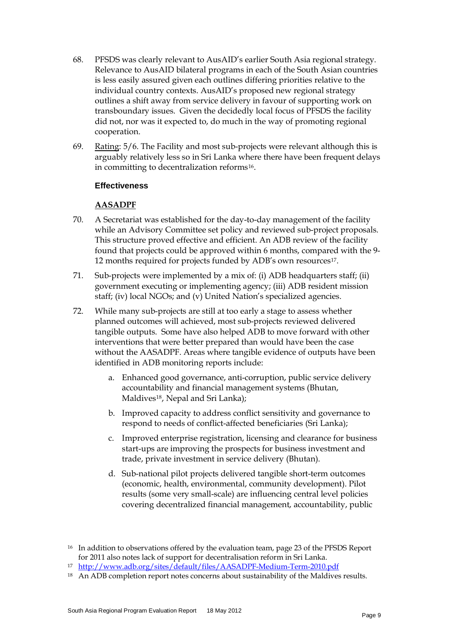- 68. PFSDS was clearly relevant to AusAID's earlier South Asia regional strategy. Relevance to AusAID bilateral programs in each of the South Asian countries is less easily assured given each outlines differing priorities relative to the individual country contexts. AusAID's proposed new regional strategy outlines a shift away from service delivery in favour of supporting work on transboundary issues. Given the decidedly local focus of PFSDS the facility did not, nor was it expected to, do much in the way of promoting regional cooperation.
- 69. Rating: 5/6. The Facility and most sub-projects were relevant although this is arguably relatively less so in Sri Lanka where there have been frequent delays in committing to decentralization reforms<sup>16</sup>.

#### **Effectiveness**

# **AASADPF**

- 70. A Secretariat was established for the day-to-day management of the facility while an Advisory Committee set policy and reviewed sub-project proposals. This structure proved effective and efficient. An ADB review of the facility found that projects could be approved within 6 months, compared with the 9- 12 months required for projects funded by ADB's own resources[17](#page-14-0).
- 71. Sub-projects were implemented by a mix of: (i) ADB headquarters staff; (ii) government executing or implementing agency; (iii) ADB resident mission staff; (iv) local NGOs; and (v) United Nation's specialized agencies.
- 72. While many sub-projects are still at too early a stage to assess whether planned outcomes will achieved, most sub-projects reviewed delivered tangible outputs. Some have also helped ADB to move forward with other interventions that were better prepared than would have been the case without the AASADPF. Areas where tangible evidence of outputs have been identified in ADB monitoring reports include:
	- a. Enhanced good governance, anti-corruption, public service delivery accountability and financial management systems (Bhutan, Maldive[s18,](#page-14-1) Nepal and Sri Lanka);
	- b. Improved capacity to address conflict sensitivity and governance to respond to needs of conflict-affected beneficiaries (Sri Lanka);
	- c. Improved enterprise registration, licensing and clearance for business start-ups are improving the prospects for business investment and trade, private investment in service delivery (Bhutan).
	- d. Sub-national pilot projects delivered tangible short-term outcomes (economic, health, environmental, community development). Pilot results (some very small-scale) are influencing central level policies covering decentralized financial management, accountability, public

<span id="page-14-2"></span><sup>&</sup>lt;sup>16</sup> In addition to observations offered by the evaluation team, page 23 of the PFSDS Report for 2011 also notes lack of support for decentralisation reform in Sri Lanka.

<span id="page-14-0"></span><sup>17</sup> <http://www.adb.org/sites/default/files/AASADPF-Medium-Term-2010.pdf>

<span id="page-14-1"></span><sup>&</sup>lt;sup>18</sup> An ADB completion report notes concerns about sustainability of the Maldives results.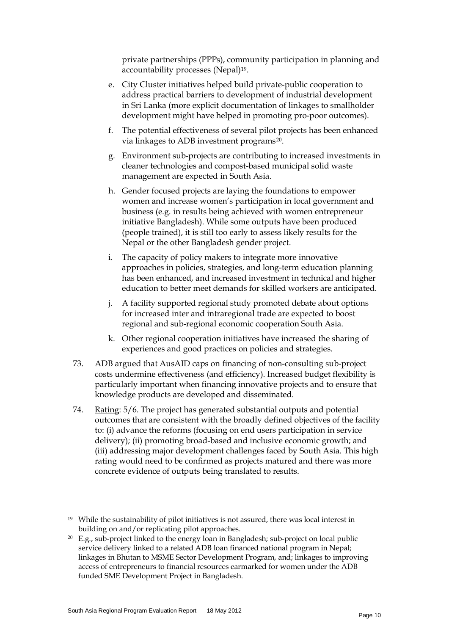private partnerships (PPPs), community participation in planning and accountability processes (Nepal)<sup>[19](#page-14-2)</sup>.

- e. City Cluster initiatives helped build private-public cooperation to address practical barriers to development of industrial development in Sri Lanka (more explicit documentation of linkages to smallholder development might have helped in promoting pro-poor outcomes).
- f. The potential effectiveness of several pilot projects has been enhanced via linkages to ADB investment programs[20.](#page-15-0)
- g. Environment sub-projects are contributing to increased investments in cleaner technologies and compost-based municipal solid waste management are expected in South Asia.
- h. Gender focused projects are laying the foundations to empower women and increase women's participation in local government and business (e.g. in results being achieved with women entrepreneur initiative Bangladesh). While some outputs have been produced (people trained), it is still too early to assess likely results for the Nepal or the other Bangladesh gender project.
- i. The capacity of policy makers to integrate more innovative approaches in policies, strategies, and long-term education planning has been enhanced, and increased investment in technical and higher education to better meet demands for skilled workers are anticipated.
- j. A facility supported regional study promoted debate about options for increased inter and intraregional trade are expected to boost regional and sub-regional economic cooperation South Asia.
- k. Other regional cooperation initiatives have increased the sharing of experiences and good practices on policies and strategies.
- 73. ADB argued that AusAID caps on financing of non-consulting sub-project costs undermine effectiveness (and efficiency). Increased budget flexibility is particularly important when financing innovative projects and to ensure that knowledge products are developed and disseminated.
- 74. Rating: 5/6. The project has generated substantial outputs and potential outcomes that are consistent with the broadly defined objectives of the facility to: (i) advance the reforms (focusing on end users participation in service delivery); (ii) promoting broad-based and inclusive economic growth; and (iii) addressing major development challenges faced by South Asia. This high rating would need to be confirmed as projects matured and there was more concrete evidence of outputs being translated to results.
- <sup>19</sup> While the sustainability of pilot initiatives is not assured, there was local interest in building on and/or replicating pilot approaches.
- <span id="page-15-1"></span><span id="page-15-0"></span><sup>20</sup> E.g., sub-project linked to the energy loan in Bangladesh; sub-project on local public service delivery linked to a related ADB loan financed national program in Nepal; linkages in Bhutan to MSME Sector Development Program, and; linkages to improving access of entrepreneurs to financial resources earmarked for women under the ADB funded SME Development Project in Bangladesh.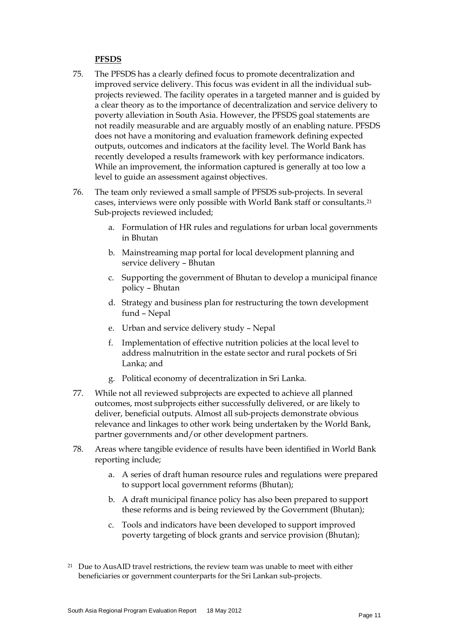#### **PFSDS**

- 75. The PFSDS has a clearly defined focus to promote decentralization and improved service delivery. This focus was evident in all the individual subprojects reviewed. The facility operates in a targeted manner and is guided by a clear theory as to the importance of decentralization and service delivery to poverty alleviation in South Asia. However, the PFSDS goal statements are not readily measurable and are arguably mostly of an enabling nature. PFSDS does not have a monitoring and evaluation framework defining expected outputs, outcomes and indicators at the facility level. The World Bank has recently developed a results framework with key performance indicators. While an improvement, the information captured is generally at too low a level to guide an assessment against objectives.
- 76. The team only reviewed a small sample of PFSDS sub-projects. In several cases, interviews were only possible with World Bank staff or consultants.[21](#page-15-1) Sub-projects reviewed included;
	- a. Formulation of HR rules and regulations for urban local governments in Bhutan
	- b. Mainstreaming map portal for local development planning and service delivery – Bhutan
	- c. Supporting the government of Bhutan to develop a municipal finance policy – Bhutan
	- d. Strategy and business plan for restructuring the town development fund – Nepal
	- e. Urban and service delivery study Nepal
	- f. Implementation of effective nutrition policies at the local level to address malnutrition in the estate sector and rural pockets of Sri Lanka; and
	- g. Political economy of decentralization in Sri Lanka.
- 77. While not all reviewed subprojects are expected to achieve all planned outcomes, most subprojects either successfully delivered, or are likely to deliver, beneficial outputs. Almost all sub-projects demonstrate obvious relevance and linkages to other work being undertaken by the World Bank, partner governments and/or other development partners.
- <span id="page-16-0"></span>78. Areas where tangible evidence of results have been identified in World Bank reporting include;
	- a. A series of draft human resource rules and regulations were prepared to support local government reforms (Bhutan);
	- b. A draft municipal finance policy has also been prepared to support these reforms and is being reviewed by the Government (Bhutan);
	- c. Tools and indicators have been developed to support improved poverty targeting of block grants and service provision (Bhutan);
- <sup>21</sup> Due to AusAID travel restrictions, the review team was unable to meet with either beneficiaries or government counterparts for the Sri Lankan sub-projects.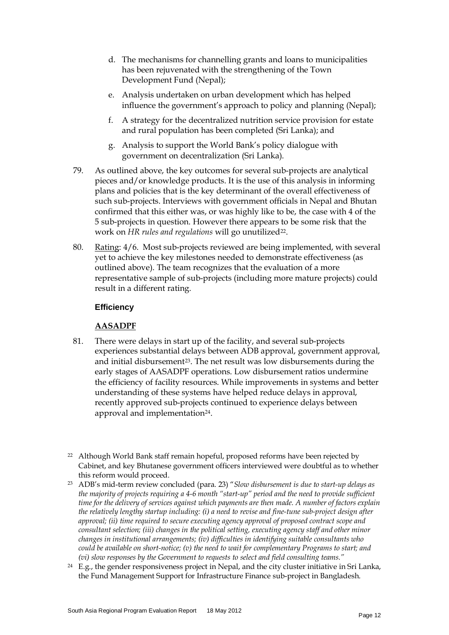- d. The mechanisms for channelling grants and loans to municipalities has been rejuvenated with the strengthening of the Town Development Fund (Nepal);
- e. Analysis undertaken on urban development which has helped influence the government's approach to policy and planning (Nepal);
- f. A strategy for the decentralized nutrition service provision for estate and rural population has been completed (Sri Lanka); and
- g. Analysis to support the World Bank's policy dialogue with government on decentralization (Sri Lanka).
- 79. As outlined above, the key outcomes for several sub-projects are analytical pieces and/or knowledge products. It is the use of this analysis in informing plans and policies that is the key determinant of the overall effectiveness of such sub-projects. Interviews with government officials in Nepal and Bhutan confirmed that this either was, or was highly like to be, the case with 4 of the 5 sub-projects in question. However there appears to be some risk that the work on *HR rules and regulations* will go unutilized<sup>[22](#page-16-0)</sup>.
- 80. Rating: 4/6. Most sub-projects reviewed are being implemented, with several yet to achieve the key milestones needed to demonstrate effectiveness (as outlined above). The team recognizes that the evaluation of a more representative sample of sub-projects (including more mature projects) could result in a different rating.

# **Efficiency**

#### **AASADPF**

- 81. There were delays in start up of the facility, and several sub-projects experiences substantial delays between ADB approval, government approval, and initial disbursement<sup>23</sup>. The net result was low disbursements during the early stages of AASADPF operations. Low disbursement ratios undermine the efficiency of facility resources. While improvements in systems and better understanding of these systems have helped reduce delays in approval, recently approved sub-projects continued to experience delays between approval and implementation<sup>[24](#page-17-1)</sup>.
- <sup>22</sup> Although World Bank staff remain hopeful, proposed reforms have been rejected by Cabinet, and key Bhutanese government officers interviewed were doubtful as to whether this reform would proceed.
- <span id="page-17-0"></span><sup>23</sup> ADB's mid-term review concluded (para. 23) "*Slow disbursement is due to start-up delays as the majority of projects requiring a 4-6 month "start-up" period and the need to provide sufficient time for the delivery of services against which payments are then made. A number of factors explain the relatively lengthy startup including: (i) a need to revise and fine-tune sub-project design after approval; (ii) time required to secure executing agency approval of proposed contract scope and consultant selection; (iii) changes in the political setting, executing agency staff and other minor changes in institutional arrangements; (iv) difficulties in identifying suitable consultants who could be available on short-notice; (v) the need to wait for complementary Programs to start; and (vi) slow responses by the Government to requests to select and field consulting teams."*
- <span id="page-17-2"></span><span id="page-17-1"></span><sup>24</sup> E.g., the gender responsiveness project in Nepal, and the city cluster initiative in Sri Lanka, the Fund Management Support for Infrastructure Finance sub-project in Bangladesh.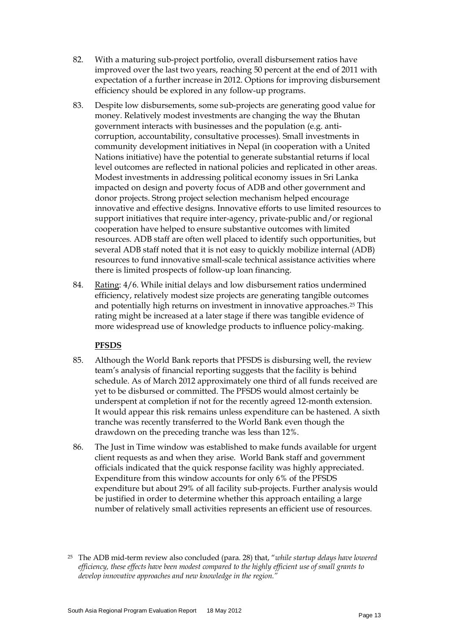- 82. With a maturing sub-project portfolio, overall disbursement ratios have improved over the last two years, reaching 50 percent at the end of 2011 with expectation of a further increase in 2012. Options for improving disbursement efficiency should be explored in any follow-up programs.
- 83. Despite low disbursements, some sub-projects are generating good value for money. Relatively modest investments are changing the way the Bhutan government interacts with businesses and the population (e.g. anticorruption, accountability, consultative processes). Small investments in community development initiatives in Nepal (in cooperation with a United Nations initiative) have the potential to generate substantial returns if local level outcomes are reflected in national policies and replicated in other areas. Modest investments in addressing political economy issues in Sri Lanka impacted on design and poverty focus of ADB and other government and donor projects. Strong project selection mechanism helped encourage innovative and effective designs. Innovative efforts to use limited resources to support initiatives that require inter-agency, private-public and/or regional cooperation have helped to ensure substantive outcomes with limited resources. ADB staff are often well placed to identify such opportunities, but several ADB staff noted that it is not easy to quickly mobilize internal (ADB) resources to fund innovative small-scale technical assistance activities where there is limited prospects of follow-up loan financing.
- 84. Rating: 4/6. While initial delays and low disbursement ratios undermined efficiency, relatively modest size projects are generating tangible outcomes and potentially high returns on investment in innovative approaches.[25](#page-17-2) This rating might be increased at a later stage if there was tangible evidence of more widespread use of knowledge products to influence policy-making.

#### **PFSDS**

- 85. Although the World Bank reports that PFSDS is disbursing well, the review team's analysis of financial reporting suggests that the facility is behind schedule. As of March 2012 approximately one third of all funds received are yet to be disbursed or committed. The PFSDS would almost certainly be underspent at completion if not for the recently agreed 12-month extension. It would appear this risk remains unless expenditure can be hastened. A sixth tranche was recently transferred to the World Bank even though the drawdown on the preceding tranche was less than 12%.
- <span id="page-18-0"></span>86. The Just in Time window was established to make funds available for urgent client requests as and when they arise. World Bank staff and government officials indicated that the quick response facility was highly appreciated. Expenditure from this window accounts for only 6% of the PFSDS expenditure but about 29% of all facility sub-projects. Further analysis would be justified in order to determine whether this approach entailing a large number of relatively small activities represents an efficient use of resources.

<sup>25</sup> The ADB mid-term review also concluded (para. 28) that, "*while startup delays have lowered efficiency, these effects have been modest compared to the highly efficient use of small grants to develop innovative approaches and new knowledge in the region."*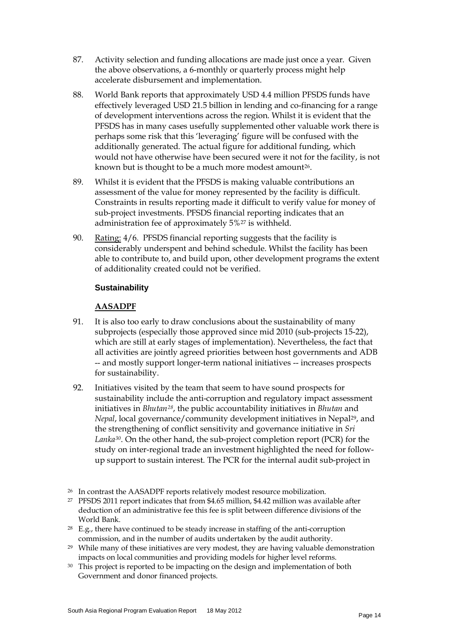- 87. Activity selection and funding allocations are made just once a year. Given the above observations, a 6-monthly or quarterly process might help accelerate disbursement and implementation.
- 88. World Bank reports that approximately USD 4.4 million PFSDS funds have effectively leveraged USD 21.5 billion in lending and co-financing for a range of development interventions across the region. Whilst it is evident that the PFSDS has in many cases usefully supplemented other valuable work there is perhaps some risk that this 'leveraging' figure will be confused with the additionally generated. The actual figure for additional funding, which would not have otherwise have been secured were it not for the facility, is not known but is thought to be a much more modest amount<sup>[26](#page-18-0)</sup>.
- 89. Whilst it is evident that the PFSDS is making valuable contributions an assessment of the value for money represented by the facility is difficult. Constraints in results reporting made it difficult to verify value for money of sub-project investments. PFSDS financial reporting indicates that an administration fee of approximately 5%[27](#page-19-0) is withheld.
- 90. Rating: 4/6. PFSDS financial reporting suggests that the facility is considerably underspent and behind schedule. Whilst the facility has been able to contribute to, and build upon, other development programs the extent of additionality created could not be verified.

# **Sustainability**

# **AASADPF**

- 91. It is also too early to draw conclusions about the sustainability of many subprojects (especially those approved since mid 2010 (sub-projects 15-22), which are still at early stages of implementation). Nevertheless, the fact that all activities are jointly agreed priorities between host governments and ADB -- and mostly support longer-term national initiatives -- increases prospects for sustainability.
- 92. Initiatives visited by the team that seem to have sound prospects for sustainability include the anti-corruption and regulatory impact assessment initiatives in *Bhutan[28](#page-19-1)*, the public accountability initiatives in *Bhutan* and *Nepal*, local governance/community development initiatives in Nepal<sup>29</sup>, and the strengthening of conflict sensitivity and governance initiative in *Sri Lanka[30](#page-19-3)*. On the other hand, the sub-project completion report (PCR) for the study on inter-regional trade an investment highlighted the need for followup support to sustain interest. The PCR for the internal audit sub-project in

- <span id="page-19-0"></span><sup>27</sup> PFSDS 2011 report indicates that from \$4.65 million, \$4.42 million was available after deduction of an administrative fee this fee is split between difference divisions of the World Bank.
- <span id="page-19-1"></span><sup>28</sup> E.g., there have continued to be steady increase in staffing of the anti-corruption commission, and in the number of audits undertaken by the audit authority.
- <span id="page-19-2"></span><sup>29</sup> While many of these initiatives are very modest, they are having valuable demonstration impacts on local communities and providing models for higher level reforms.
- <span id="page-19-3"></span><sup>30</sup> This project is reported to be impacting on the design and implementation of both Government and donor financed projects.

<span id="page-19-4"></span><sup>&</sup>lt;sup>26</sup> In contrast the AASADPF reports relatively modest resource mobilization.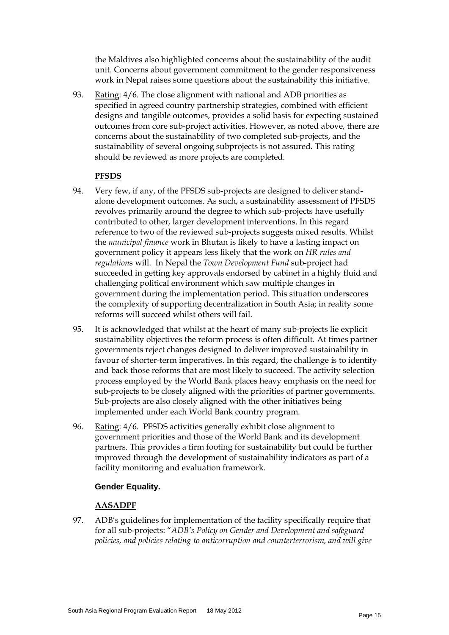the Maldives also highlighted concerns about the sustainability of the audit unit. Concerns about government commitment to the gender responsiveness work in Nepal raises some questions about the sustainability this initiative.

93. Rating: 4/6. The close alignment with national and ADB priorities as specified in agreed country partnership strategies, combined with efficient designs and tangible outcomes, provides a solid basis for expecting sustained outcomes from core sub-project activities. However, as noted above, there are concerns about the sustainability of two completed sub-projects, and the sustainability of several ongoing subprojects is not assured. This rating should be reviewed as more projects are completed.

#### **PFSDS**

- 94. Very few, if any, of the PFSDS sub-projects are designed to deliver standalone development outcomes. As such, a sustainability assessment of PFSDS revolves primarily around the degree to which sub-projects have usefully contributed to other, larger development interventions. In this regard reference to two of the reviewed sub-projects suggests mixed results. Whilst the *municipal finance* work in Bhutan is likely to have a lasting impact on government policy it appears less likely that the work on *HR rules and regulation*s will. In Nepal the *Town Development Fund* sub-project had succeeded in getting key approvals endorsed by cabinet in a highly fluid and challenging political environment which saw multiple changes in government during the implementation period. This situation underscores the complexity of supporting decentralization in South Asia; in reality some reforms will succeed whilst others will fail.
- 95. It is acknowledged that whilst at the heart of many sub-projects lie explicit sustainability objectives the reform process is often difficult. At times partner governments reject changes designed to deliver improved sustainability in favour of shorter-term imperatives. In this regard, the challenge is to identify and back those reforms that are most likely to succeed. The activity selection process employed by the World Bank places heavy emphasis on the need for sub-projects to be closely aligned with the priorities of partner governments. Sub-projects are also closely aligned with the other initiatives being implemented under each World Bank country program.
- 96. Rating: 4/6. PFSDS activities generally exhibit close alignment to government priorities and those of the World Bank and its development partners. This provides a firm footing for sustainability but could be further improved through the development of sustainability indicators as part of a facility monitoring and evaluation framework.

#### **Gender Equality.**

#### **AASADPF**

97. ADB's guidelines for implementation of the facility specifically require that for all sub-projects: "*ADB's Policy on Gender and Development and safeguard policies, and policies relating to anticorruption and counterterrorism, and will give*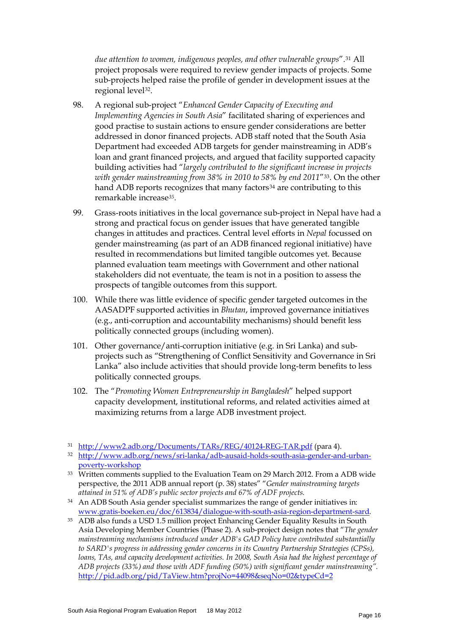*due attention to women, indigenous peoples, and other vulnerable groups*".[31](#page-19-4) All project proposals were required to review gender impacts of projects. Some sub-projects helped raise the profile of gender in development issues at the regional level<sup>[32](#page-21-0)</sup>.

- 98. A regional sub-project "*Enhanced Gender Capacity of Executing and Implementing Agencies in South Asia*" facilitated sharing of experiences and good practise to sustain actions to ensure gender considerations are better addressed in donor financed projects. ADB staff noted that the South Asia Department had exceeded ADB targets for gender mainstreaming in ADB's loan and grant financed projects, and argued that facility supported capacity building activities had "*largely contributed to the significant increase in projects with gender mainstreaming from 38% in 2010 to 58% by end 2011*"[33](#page-21-1). On the other hand ADB reports recognizes that many factors<sup>[34](#page-21-2)</sup> are contributing to this remarkable increase*[35](#page-21-3).*
- 99. Grass-roots initiatives in the local governance sub-project in Nepal have had a strong and practical focus on gender issues that have generated tangible changes in attitudes and practices. Central level efforts in *Nepal* focussed on gender mainstreaming (as part of an ADB financed regional initiative) have resulted in recommendations but limited tangible outcomes yet. Because planned evaluation team meetings with Government and other national stakeholders did not eventuate, the team is not in a position to assess the prospects of tangible outcomes from this support.
- 100. While there was little evidence of specific gender targeted outcomes in the AASADPF supported activities in *Bhutan*, improved governance initiatives (e.g., anti-corruption and accountability mechanisms) should benefit less politically connected groups (including women).
- 101. Other governance/anti-corruption initiative (e.g. in Sri Lanka) and subprojects such as "Strengthening of Conflict Sensitivity and Governance in Sri Lanka" also include activities that should provide long-term benefits to less politically connected groups.
- 102. The "*Promoting Women Entrepreneurship in Bangladesh*" helped support capacity development, institutional reforms, and related activities aimed at maximizing returns from a large ADB investment project.

<sup>31</sup> <http://www2.adb.org/Documents/TARs/REG/40124-REG-TAR.pdf> (para 4).

<span id="page-21-0"></span><sup>32</sup> [http://www.adb.org/news/sri-lanka/adb-ausaid-holds-south-asia-gender-and-urban](http://www.adb.org/news/sri-lanka/adb-ausaid-holds-south-asia-gender-and-urban-poverty-workshop)[poverty-workshop](http://www.adb.org/news/sri-lanka/adb-ausaid-holds-south-asia-gender-and-urban-poverty-workshop)

<span id="page-21-1"></span><sup>&</sup>lt;sup>33</sup> Written comments supplied to the Evaluation Team on 29 March 2012. From a ADB wide perspective, the 2011 ADB annual report (p. 38) states" "*Gender mainstreaming targets attained in 51% of ADB's public sector projects and 67% of ADF projects.*

<span id="page-21-4"></span><span id="page-21-2"></span><sup>34</sup> An ADB South Asia gender specialist summarizes the range of gender initiatives in: [www.gratis-boeken.eu/doc/613834/dialogue-with-south-asia-region-department-sard.](http://www.gratis-boeken.eu/doc/613834/dialogue-with-south-asia-region-department-sard)

<span id="page-21-3"></span><sup>35</sup> ADB also funds a USD 1.5 million project Enhancing Gender Equality Results in South Asia Developing Member Countries (Phase 2). A sub-project design notes that "*The gender mainstreaming mechanisms introduced under ADB's GAD Policy have contributed substantially to SARD's progress in addressing gender concerns in its Country Partnership Strategies (CPSs), loans, TAs, and capacity development activities. In 2008, South Asia had the highest percentage of ADB projects (33%) and those with ADF funding (50%) with significant gender mainstreaming".*  <http://pid.adb.org/pid/TaView.htm?projNo=44098&seqNo=02&typeCd=2>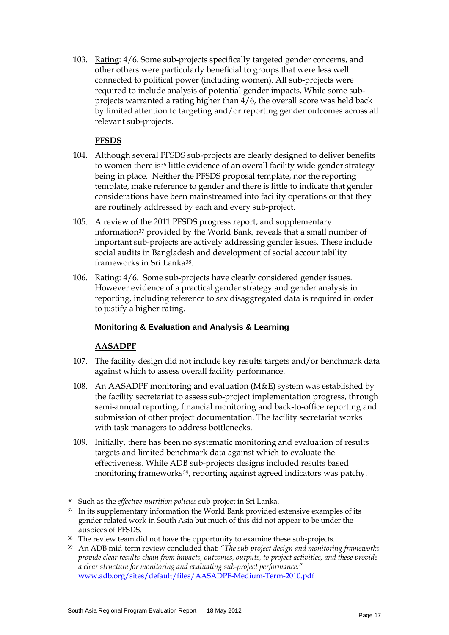103. Rating: 4/6. Some sub-projects specifically targeted gender concerns, and other others were particularly beneficial to groups that were less well connected to political power (including women). All sub-projects were required to include analysis of potential gender impacts. While some subprojects warranted a rating higher than 4/6, the overall score was held back by limited attention to targeting and/or reporting gender outcomes across all relevant sub-projects.

# **PFSDS**

- 104. Although several PFSDS sub-projects are clearly designed to deliver benefits to women there is<sup>[36](#page-21-4)</sup> little evidence of an overall facility wide gender strategy being in place. Neither the PFSDS proposal template, nor the reporting template, make reference to gender and there is little to indicate that gender considerations have been mainstreamed into facility operations or that they are routinely addressed by each and every sub-project.
- 105. A review of the 2011 PFSDS progress report, and supplementary information<sup>[37](#page-22-0)</sup> provided by the World Bank, reveals that a small number of important sub-projects are actively addressing gender issues. These include social audits in Bangladesh and development of social accountability frameworks in Sri Lank[a38.](#page-22-1)
- 106. Rating: 4/6. Some sub-projects have clearly considered gender issues. However evidence of a practical gender strategy and gender analysis in reporting, including reference to sex disaggregated data is required in order to justify a higher rating.

#### **Monitoring & Evaluation and Analysis & Learning**

# **AASADPF**

- 107. The facility design did not include key results targets and/or benchmark data against which to assess overall facility performance.
- 108. An AASADPF monitoring and evaluation (M&E) system was established by the facility secretariat to assess sub-project implementation progress, through semi-annual reporting, financial monitoring and back-to-office reporting and submission of other project documentation. The facility secretariat works with task managers to address bottlenecks.
- 109. Initially, there has been no systematic monitoring and evaluation of results targets and limited benchmark data against which to evaluate the effectiveness. While ADB sub-projects designs included results based monitoring frameworks<sup>[39](#page-22-2)</sup>, reporting against agreed indicators was patchy.

- <span id="page-22-0"></span><sup>37</sup> In its supplementary information the World Bank provided extensive examples of its gender related work in South Asia but much of this did not appear to be under the auspices of PFSDS.
- <span id="page-22-1"></span><sup>38</sup> The review team did not have the opportunity to examine these sub-projects.
- <span id="page-22-3"></span><span id="page-22-2"></span><sup>39</sup> An ADB mid-term review concluded that: "*The sub-project design and monitoring frameworks provide clear results-chain from impacts, outcomes, outputs, to project activities, and these provide a clear structure for monitoring and evaluating sub-project performance."* [www.adb.org/sites/default/files/AASADPF-Medium-Term-2010.pdf](http://www.adb.org/sites/default/files/AASADPF-Medium-Term-2010.pdf)

<sup>36</sup> Such as the *effective nutrition policies* sub-project in Sri Lanka.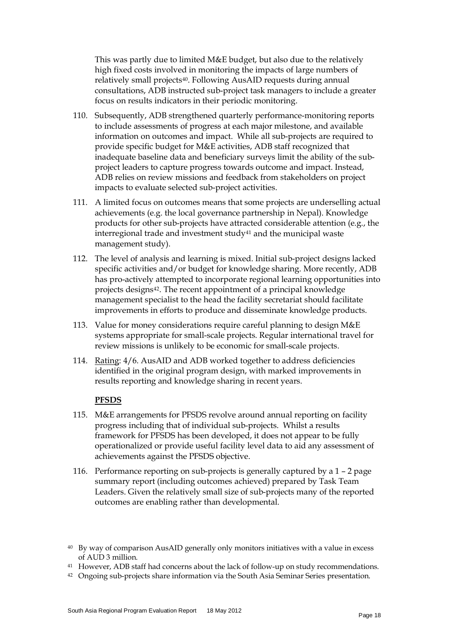This was partly due to limited M&E budget, but also due to the relatively high fixed costs involved in monitoring the impacts of large numbers of relatively small projects[40](#page-22-3). Following AusAID requests during annual consultations, ADB instructed sub-project task managers to include a greater focus on results indicators in their periodic monitoring.

- 110. Subsequently, ADB strengthened quarterly performance-monitoring reports to include assessments of progress at each major milestone, and available information on outcomes and impact. While all sub-projects are required to provide specific budget for M&E activities, ADB staff recognized that inadequate baseline data and beneficiary surveys limit the ability of the subproject leaders to capture progress towards outcome and impact. Instead, ADB relies on review missions and feedback from stakeholders on project impacts to evaluate selected sub-project activities.
- 111. A limited focus on outcomes means that some projects are underselling actual achievements (e.g. the local governance partnership in Nepal). Knowledge products for other sub-projects have attracted considerable attention (e.g., the interregional trade and investment study<sup>[41](#page-23-0)</sup> and the municipal waste management study).
- 112. The level of analysis and learning is mixed. Initial sub-project designs lacked specific activities and/or budget for knowledge sharing. More recently, ADB has pro-actively attempted to incorporate regional learning opportunities into projects designs[42](#page-23-1). The recent appointment of a principal knowledge management specialist to the head the facility secretariat should facilitate improvements in efforts to produce and disseminate knowledge products.
- 113. Value for money considerations require careful planning to design M&E systems appropriate for small-scale projects. Regular international travel for review missions is unlikely to be economic for small-scale projects.
- 114. Rating: 4/6. AusAID and ADB worked together to address deficiencies identified in the original program design, with marked improvements in results reporting and knowledge sharing in recent years.

#### **PFSDS**

- 115. M&E arrangements for PFSDS revolve around annual reporting on facility progress including that of individual sub-projects. Whilst a results framework for PFSDS has been developed, it does not appear to be fully operationalized or provide useful facility level data to aid any assessment of achievements against the PFSDS objective.
- 116. Performance reporting on sub-projects is generally captured by a 1 2 page summary report (including outcomes achieved) prepared by Task Team Leaders. Given the relatively small size of sub-projects many of the reported outcomes are enabling rather than developmental.

- <span id="page-23-0"></span><sup>41</sup> However, ADB staff had concerns about the lack of follow-up on study recommendations.
- <span id="page-23-1"></span><sup>42</sup> Ongoing sub-projects share information via the South Asia Seminar Series presentation.

<sup>&</sup>lt;sup>40</sup> By way of comparison AusAID generally only monitors initiatives with a value in excess of AUD 3 million.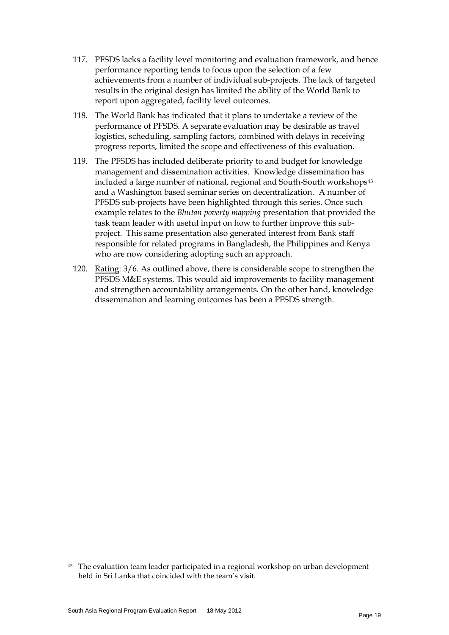- 117. PFSDS lacks a facility level monitoring and evaluation framework, and hence performance reporting tends to focus upon the selection of a few achievements from a number of individual sub-projects. The lack of targeted results in the original design has limited the ability of the World Bank to report upon aggregated, facility level outcomes.
- 118. The World Bank has indicated that it plans to undertake a review of the performance of PFSDS. A separate evaluation may be desirable as travel logistics, scheduling, sampling factors, combined with delays in receiving progress reports, limited the scope and effectiveness of this evaluation.
- 119. The PFSDS has included deliberate priority to and budget for knowledge management and dissemination activities. Knowledge dissemination has included a large number of national, regional and South-South workshops<sup>[43](#page-23-0)</sup> and a Washington based seminar series on decentralization. A number of PFSDS sub-projects have been highlighted through this series. Once such example relates to the *Bhutan poverty mapping* presentation that provided the task team leader with useful input on how to further improve this subproject. This same presentation also generated interest from Bank staff responsible for related programs in Bangladesh, the Philippines and Kenya who are now considering adopting such an approach.
- 120. Rating: 3/6. As outlined above, there is considerable scope to strengthen the PFSDS M&E systems. This would aid improvements to facility management and strengthen accountability arrangements. On the other hand, knowledge dissemination and learning outcomes has been a PFSDS strength.

<span id="page-24-0"></span><sup>&</sup>lt;sup>43</sup> The evaluation team leader participated in a regional workshop on urban development held in Sri Lanka that coincided with the team's visit.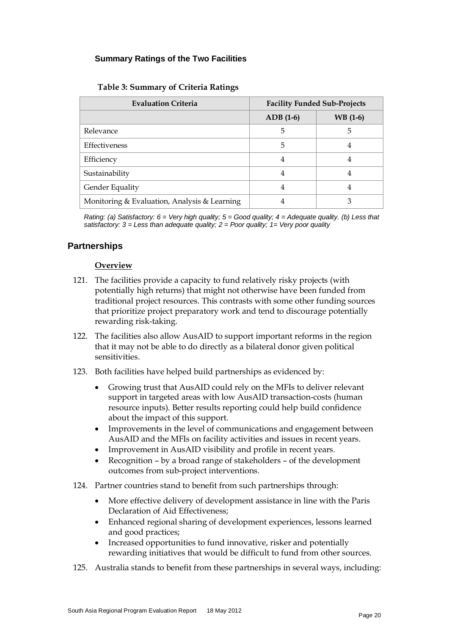# **Summary Ratings of the Two Facilities**

| <b>Evaluation Criteria</b>                   | <b>Facility Funded Sub-Projects</b> |          |  |  |  |
|----------------------------------------------|-------------------------------------|----------|--|--|--|
|                                              | $ADB(1-6)$                          | WB (1-6) |  |  |  |
| Relevance                                    | 5                                   | 5        |  |  |  |
| Effectiveness                                | 5                                   | 4        |  |  |  |
| Efficiency                                   | 4                                   | 4        |  |  |  |
| Sustainability                               | 4                                   | 4        |  |  |  |
| Gender Equality                              | 4                                   | 4        |  |  |  |
| Monitoring & Evaluation, Analysis & Learning | 4                                   | З        |  |  |  |

*Rating: (a) Satisfactory: 6 = Very high quality; 5 = Good quality; 4 = Adequate quality. (b) Less that satisfactory: 3 = Less than adequate quality; 2 = Poor quality; 1= Very poor quality*

# **Partnerships**

#### **Overview**

- 121. The facilities provide a capacity to fund relatively risky projects (with potentially high returns) that might not otherwise have been funded from traditional project resources. This contrasts with some other funding sources that prioritize project preparatory work and tend to discourage potentially rewarding risk-taking.
- 122. The facilities also allow AusAID to support important reforms in the region that it may not be able to do directly as a bilateral donor given political sensitivities.
- 123. Both facilities have helped build partnerships as evidenced by:
	- Growing trust that AusAID could rely on the MFIs to deliver relevant support in targeted areas with low AusAID transaction-costs (human resource inputs). Better results reporting could help build confidence about the impact of this support.
	- Improvements in the level of communications and engagement between AusAID and the MFIs on facility activities and issues in recent years.
	- Improvement in AusAID visibility and profile in recent years.
	- Recognition by a broad range of stakeholders of the development outcomes from sub-project interventions.
- 124. Partner countries stand to benefit from such partnerships through:
	- More effective delivery of development assistance in line with the Paris Declaration of Aid Effectiveness;
	- Enhanced regional sharing of development experiences, lessons learned and good practices;
	- Increased opportunities to fund innovative, risker and potentially rewarding initiatives that would be difficult to fund from other sources.
- 125. Australia stands to benefit from these partnerships in several ways, including: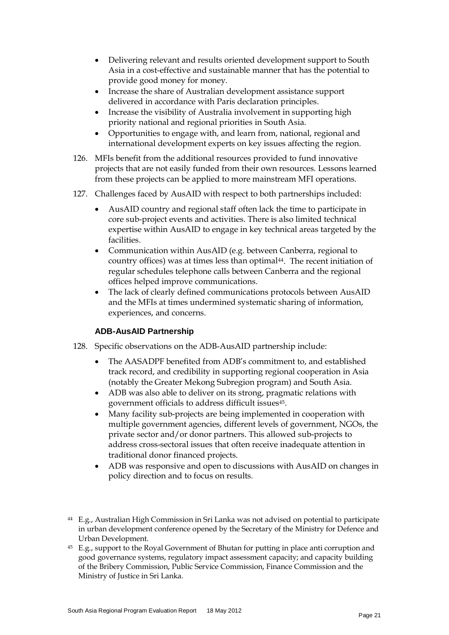- Delivering relevant and results oriented development support to South Asia in a cost-effective and sustainable manner that has the potential to provide good money for money.
- Increase the share of Australian development assistance support delivered in accordance with Paris declaration principles.
- Increase the visibility of Australia involvement in supporting high priority national and regional priorities in South Asia.
- Opportunities to engage with, and learn from, national, regional and international development experts on key issues affecting the region.
- 126. MFIs benefit from the additional resources provided to fund innovative projects that are not easily funded from their own resources. Lessons learned from these projects can be applied to more mainstream MFI operations.
- 127. Challenges faced by AusAID with respect to both partnerships included:
	- AusAID country and regional staff often lack the time to participate in core sub-project events and activities. There is also limited technical expertise within AusAID to engage in key technical areas targeted by the facilities.
	- Communication within AusAID (e.g. between Canberra, regional to country offices) was at times less than optimal<sup>[44](#page-24-0)</sup>. The recent initiation of regular schedules telephone calls between Canberra and the regional offices helped improve communications.
	- The lack of clearly defined communications protocols between AusAID and the MFIs at times undermined systematic sharing of information, experiences, and concerns.

# **ADB-AusAID Partnership**

- 128. Specific observations on the ADB-AusAID partnership include:
	- The AASADPF benefited from ADB's commitment to, and established track record, and credibility in supporting regional cooperation in Asia (notably the Greater Mekong Subregion program) and South Asia.
	- ADB was also able to deliver on its strong, pragmatic relations with government officials to address difficult issues[45.](#page-26-0)
	- Many facility sub-projects are being implemented in cooperation with multiple government agencies, different levels of government, NGOs, the private sector and/or donor partners. This allowed sub-projects to address cross-sectoral issues that often receive inadequate attention in traditional donor financed projects.
	- ADB was responsive and open to discussions with AusAID on changes in policy direction and to focus on results.

<span id="page-26-0"></span><sup>45</sup> E.g., support to the Royal Government of Bhutan for putting in place anti corruption and good governance systems, regulatory impact assessment capacity; and capacity building of the Bribery Commission, Public Service Commission, Finance Commission and the Ministry of Justice in Sri Lanka.

<span id="page-26-1"></span><sup>44</sup> E.g., Australian High Commission in Sri Lanka was not advised on potential to participate in urban development conference opened by the Secretary of the Ministry for Defence and Urban Development.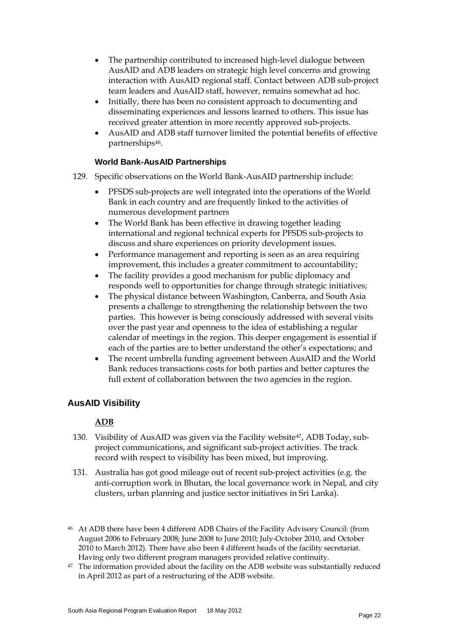- The partnership contributed to increased high-level dialogue between AusAID and ADB leaders on strategic high level concerns and growing interaction with AusAID regional staff. Contact between ADB sub-project team leaders and AusAID staff, however, remains somewhat ad hoc.
- Initially, there has been no consistent approach to documenting and disseminating experiences and lessons learned to others. This issue has received greater attention in more recently approved sub-projects.
- AusAID and ADB staff turnover limited the potential benefits of effective partnerships[46](#page-26-1).

# **World Bank-AusAID Partnerships**

- 129. Specific observations on the World Bank-AusAID partnership include:
	- PFSDS sub-projects are well integrated into the operations of the World Bank in each country and are frequently linked to the activities of numerous development partners
	- The World Bank has been effective in drawing together leading international and regional technical experts for PFSDS sub-projects to discuss and share experiences on priority development issues.
	- Performance management and reporting is seen as an area requiring improvement, this includes a greater commitment to accountability;
	- The facility provides a good mechanism for public diplomacy and responds well to opportunities for change through strategic initiatives;
	- The physical distance between Washington, Canberra, and South Asia presents a challenge to strengthening the relationship between the two parties. This however is being consciously addressed with several visits over the past year and openness to the idea of establishing a regular calendar of meetings in the region. This deeper engagement is essential if each of the parties are to better understand the other's expectations; and
	- The recent umbrella funding agreement between AusAID and the World Bank reduces transactions costs for both parties and better captures the full extent of collaboration between the two agencies in the region.

# **AusAID Visibility**

# **ADB**

- 130. Visibility of AusAID was given via the Facility website<sup>47</sup>, ADB Today, subproject communications, and significant sub-project activities. The track record with respect to visibility has been mixed, but improving.
- 131. Australia has got good mileage out of recent sub-project activities (e.g. the anti-corruption work in Bhutan, the local governance work in Nepal, and city clusters, urban planning and justice sector initiatives in Sri Lanka).
- <span id="page-27-1"></span><sup>46</sup> At ADB there have been 4 different ADB Chairs of the Facility Advisory Council: (from August 2006 to February 2008; June 2008 to June 2010; July-October 2010, and October 2010 to March 2012). There have also been 4 different heads of the facility secretariat. Having only two different program managers provided relative continuity.
- <span id="page-27-0"></span><sup>47</sup> The information provided about the facility on the ADB website was substantially reduced in April 2012 as part of a restructuring of the ADB website.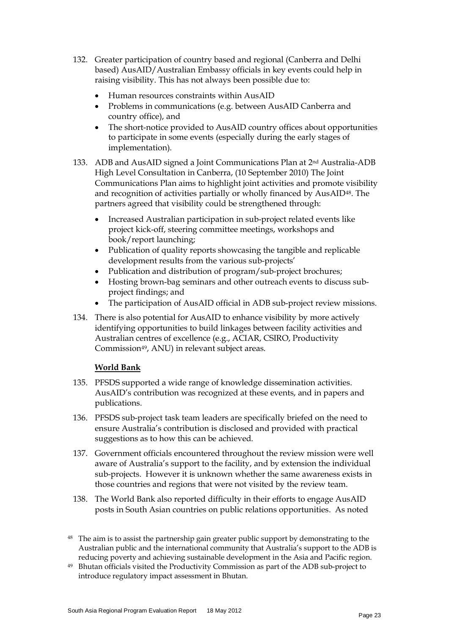- 132. Greater participation of country based and regional (Canberra and Delhi based) AusAID/Australian Embassy officials in key events could help in raising visibility. This has not always been possible due to:
	- Human resources constraints within AusAID
	- Problems in communications (e.g. between AusAID Canberra and country office), and
	- The short-notice provided to AusAID country offices about opportunities to participate in some events (especially during the early stages of implementation).
- 133. ADB and AusAID signed a Joint Communications Plan at  $2<sup>nd</sup>$  Australia-ADB High Level Consultation in Canberra, (10 September 2010) The Joint Communications Plan aims to highlight joint activities and promote visibility and recognition of activities partially or wholly financed by AusAID[48.](#page-27-1) The partners agreed that visibility could be strengthened through:
	- Increased Australian participation in sub-project related events like project kick-off, steering committee meetings, workshops and book/report launching;
	- Publication of quality reports showcasing the tangible and replicable development results from the various sub-projects'
	- Publication and distribution of program/sub-project brochures;
	- Hosting brown-bag seminars and other outreach events to discuss subproject findings; and
	- The participation of AusAID official in ADB sub-project review missions.
- 134. There is also potential for AusAID to enhance visibility by more actively identifying opportunities to build linkages between facility activities and Australian centres of excellence (e.g., ACIAR, CSIRO, Productivity Commission[49,](#page-28-0) ANU) in relevant subject areas.

#### **World Bank**

- 135. PFSDS supported a wide range of knowledge dissemination activities. AusAID's contribution was recognized at these events, and in papers and publications.
- 136. PFSDS sub-project task team leaders are specifically briefed on the need to ensure Australia's contribution is disclosed and provided with practical suggestions as to how this can be achieved.
- 137. Government officials encountered throughout the review mission were well aware of Australia's support to the facility, and by extension the individual sub-projects. However it is unknown whether the same awareness exists in those countries and regions that were not visited by the review team.
- 138. The World Bank also reported difficulty in their efforts to engage AusAID posts in South Asian countries on public relations opportunities. As noted
- <sup>48</sup> The aim is to assist the partnership gain greater public support by demonstrating to the Australian public and the international community that Australia's support to the ADB is reducing poverty and achieving sustainable development in the Asia and Pacific region.
- <span id="page-28-1"></span><span id="page-28-0"></span><sup>49</sup> Bhutan officials visited the Productivity Commission as part of the ADB sub-project to introduce regulatory impact assessment in Bhutan.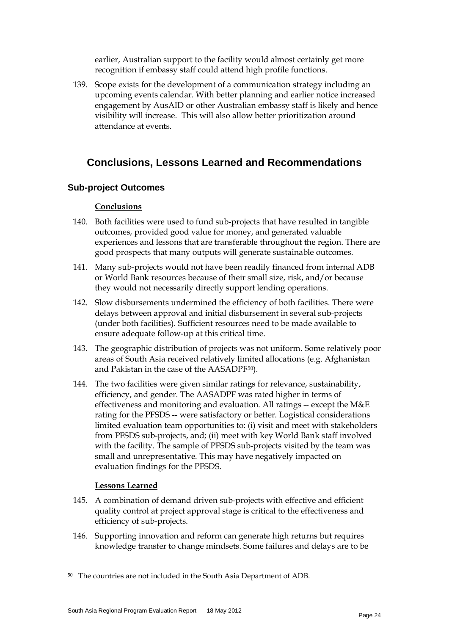earlier, Australian support to the facility would almost certainly get more recognition if embassy staff could attend high profile functions.

139. Scope exists for the development of a communication strategy including an upcoming events calendar. With better planning and earlier notice increased engagement by AusAID or other Australian embassy staff is likely and hence visibility will increase. This will also allow better prioritization around attendance at events.

# **Conclusions, Lessons Learned and Recommendations**

# **Sub-project Outcomes**

#### **Conclusions**

- 140. Both facilities were used to fund sub-projects that have resulted in tangible outcomes, provided good value for money, and generated valuable experiences and lessons that are transferable throughout the region. There are good prospects that many outputs will generate sustainable outcomes.
- 141. Many sub-projects would not have been readily financed from internal ADB or World Bank resources because of their small size, risk, and/or because they would not necessarily directly support lending operations.
- 142. Slow disbursements undermined the efficiency of both facilities. There were delays between approval and initial disbursement in several sub-projects (under both facilities). Sufficient resources need to be made available to ensure adequate follow-up at this critical time.
- 143. The geographic distribution of projects was not uniform. Some relatively poor areas of South Asia received relatively limited allocations (e.g. Afghanistan and Pakistan in the case of the AASADPF[50\)](#page-28-1).
- 144. The two facilities were given similar ratings for relevance, sustainability, efficiency, and gender. The AASADPF was rated higher in terms of effectiveness and monitoring and evaluation. All ratings -- except the M&E rating for the PFSDS -- were satisfactory or better. Logistical considerations limited evaluation team opportunities to: (i) visit and meet with stakeholders from PFSDS sub-projects, and; (ii) meet with key World Bank staff involved with the facility. The sample of PFSDS sub-projects visited by the team was small and unrepresentative. This may have negatively impacted on evaluation findings for the PFSDS.

#### **Lessons Learned**

- 145. A combination of demand driven sub-projects with effective and efficient quality control at project approval stage is critical to the effectiveness and efficiency of sub-projects.
- <span id="page-29-0"></span>146. Supporting innovation and reform can generate high returns but requires knowledge transfer to change mindsets. Some failures and delays are to be

<sup>50</sup> The countries are not included in the South Asia Department of ADB.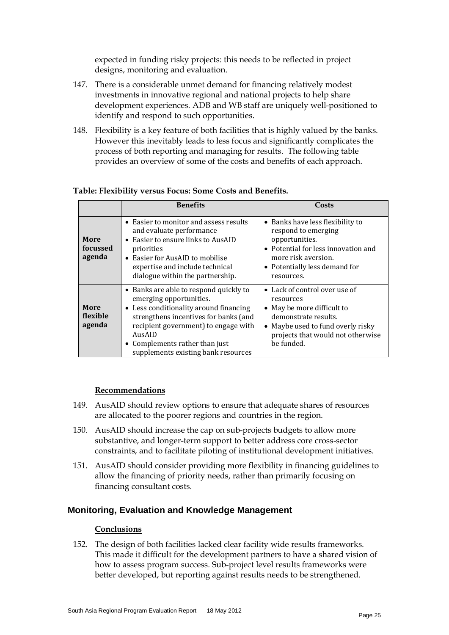expected in funding risky projects: this needs to be reflected in project designs, monitoring and evaluation.

- 147. There is a considerable unmet demand for financing relatively modest investments in innovative regional and national projects to help share development experiences. ADB and WB staff are uniquely well-positioned to identify and respond to such opportunities.
- 148. Flexibility is a key feature of both facilities that is highly valued by the banks. However this inevitably leads to less focus and significantly complicates the process of both reporting and managing for results. The following table provides an overview of some of the costs and benefits of each approach.

|                            | <b>Benefits</b>                                                                                                                                                                                                                                                                 | Costs                                                                                                                                                                                    |
|----------------------------|---------------------------------------------------------------------------------------------------------------------------------------------------------------------------------------------------------------------------------------------------------------------------------|------------------------------------------------------------------------------------------------------------------------------------------------------------------------------------------|
| More<br>focussed<br>agenda | • Easier to monitor and assess results<br>and evaluate performance<br>• Easier to ensure links to AusAID<br>priorities<br>• Easier for AusAID to mobilise<br>expertise and include technical<br>dialogue within the partnership.                                                | • Banks have less flexibility to<br>respond to emerging<br>opportunities.<br>• Potential for less innovation and<br>more risk aversion.<br>• Potentially less demand for<br>resources.   |
| More<br>flexible<br>agenda | • Banks are able to respond quickly to<br>emerging opportunities.<br>• Less conditionality around financing<br>strengthens incentives for banks (and<br>recipient government) to engage with<br>AusAID<br>• Complements rather than just<br>supplements existing bank resources | • Lack of control over use of<br>resources<br>• May be more difficult to<br>demonstrate results.<br>• Maybe used to fund overly risky<br>projects that would not otherwise<br>be funded. |

# **Table: Flexibility versus Focus: Some Costs and Benefits.**

#### **Recommendations**

- 149. AusAID should review options to ensure that adequate shares of resources are allocated to the poorer regions and countries in the region.
- 150. AusAID should increase the cap on sub-projects budgets to allow more substantive, and longer-term support to better address core cross-sector constraints, and to facilitate piloting of institutional development initiatives.
- 151. AusAID should consider providing more flexibility in financing guidelines to allow the financing of priority needs, rather than primarily focusing on financing consultant costs.

#### **Monitoring, Evaluation and Knowledge Management**

#### **Conclusions**

152. The design of both facilities lacked clear facility wide results frameworks. This made it difficult for the development partners to have a shared vision of how to assess program success. Sub-project level results frameworks were better developed, but reporting against results needs to be strengthened.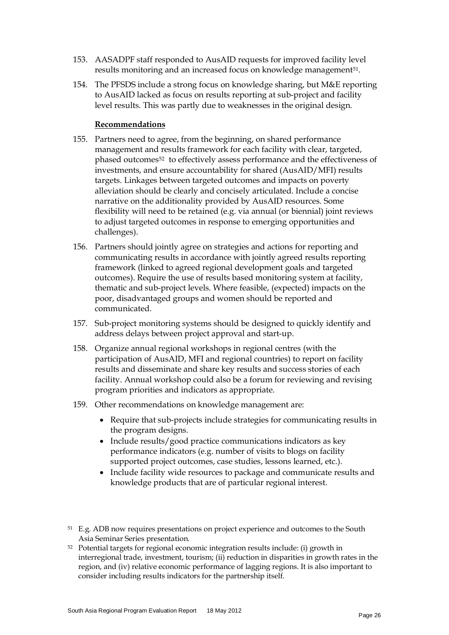- 153. AASADPF staff responded to AusAID requests for improved facility level results monitoring and an increased focus on knowledge management<sup>[51](#page-29-0)</sup>.
- 154. The PFSDS include a strong focus on knowledge sharing, but M&E reporting to AusAID lacked as focus on results reporting at sub-project and facility level results. This was partly due to weaknesses in the original design.

#### **Recommendations**

- 155. Partners need to agree, from the beginning, on shared performance management and results framework for each facility with clear, targeted, phased outcomes<sup>[52](#page-31-0)</sup> to effectively assess performance and the effectiveness of investments, and ensure accountability for shared (AusAID/MFI) results targets. Linkages between targeted outcomes and impacts on poverty alleviation should be clearly and concisely articulated. Include a concise narrative on the additionality provided by AusAID resources. Some flexibility will need to be retained (e.g. via annual (or biennial) joint reviews to adjust targeted outcomes in response to emerging opportunities and challenges).
- 156. Partners should jointly agree on strategies and actions for reporting and communicating results in accordance with jointly agreed results reporting framework (linked to agreed regional development goals and targeted outcomes). Require the use of results based monitoring system at facility, thematic and sub-project levels. Where feasible, (expected) impacts on the poor, disadvantaged groups and women should be reported and communicated.
- 157. Sub-project monitoring systems should be designed to quickly identify and address delays between project approval and start-up.
- 158. Organize annual regional workshops in regional centres (with the participation of AusAID, MFI and regional countries) to report on facility results and disseminate and share key results and success stories of each facility. Annual workshop could also be a forum for reviewing and revising program priorities and indicators as appropriate.
- 159. Other recommendations on knowledge management are:
	- Require that sub-projects include strategies for communicating results in the program designs.
	- Include results/good practice communications indicators as key performance indicators (e.g. number of visits to blogs on facility supported project outcomes, case studies, lessons learned, etc.).
	- Include facility wide resources to package and communicate results and knowledge products that are of particular regional interest.
- <sup>51</sup> E.g. ADB now requires presentations on project experience and outcomes to the South Asia Seminar Series presentation.
- <span id="page-31-1"></span><span id="page-31-0"></span><sup>52</sup> Potential targets for regional economic integration results include: (i) growth in interregional trade, investment, tourism; (ii) reduction in disparities in growth rates in the region, and (iv) relative economic performance of lagging regions. It is also important to consider including results indicators for the partnership itself.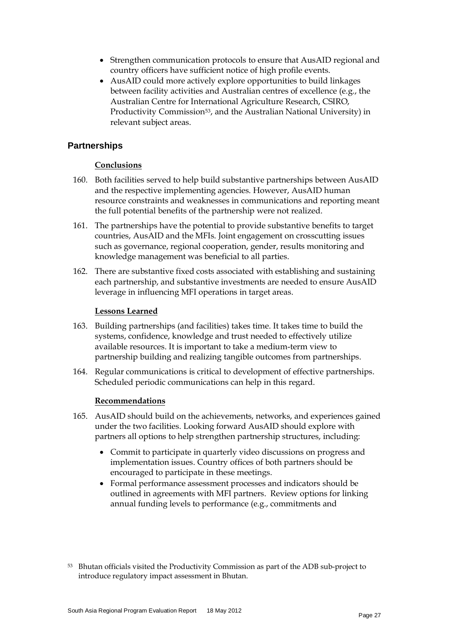- Strengthen communication protocols to ensure that AusAID regional and country officers have sufficient notice of high profile events.
- AusAID could more actively explore opportunities to build linkages between facility activities and Australian centres of excellence (e.g., the Australian Centre for International Agriculture Research, CSIRO, Productivity Commission<sup>[53](#page-31-1)</sup>, and the Australian National University) in relevant subject areas.

# **Partnerships**

# **Conclusions**

- 160. Both facilities served to help build substantive partnerships between AusAID and the respective implementing agencies. However, AusAID human resource constraints and weaknesses in communications and reporting meant the full potential benefits of the partnership were not realized.
- 161. The partnerships have the potential to provide substantive benefits to target countries, AusAID and the MFIs. Joint engagement on crosscutting issues such as governance, regional cooperation, gender, results monitoring and knowledge management was beneficial to all parties.
- 162. There are substantive fixed costs associated with establishing and sustaining each partnership, and substantive investments are needed to ensure AusAID leverage in influencing MFI operations in target areas.

# **Lessons Learned**

- 163. Building partnerships (and facilities) takes time. It takes time to build the systems, confidence, knowledge and trust needed to effectively utilize available resources. It is important to take a medium-term view to partnership building and realizing tangible outcomes from partnerships.
- 164. Regular communications is critical to development of effective partnerships. Scheduled periodic communications can help in this regard.

#### **Recommendations**

- 165. AusAID should build on the achievements, networks, and experiences gained under the two facilities. Looking forward AusAID should explore with partners all options to help strengthen partnership structures, including:
	- Commit to participate in quarterly video discussions on progress and implementation issues. Country offices of both partners should be encouraged to participate in these meetings.
	- Formal performance assessment processes and indicators should be outlined in agreements with MFI partners. Review options for linking annual funding levels to performance (e.g., commitments and

<span id="page-32-0"></span><sup>53</sup> Bhutan officials visited the Productivity Commission as part of the ADB sub-project to introduce regulatory impact assessment in Bhutan.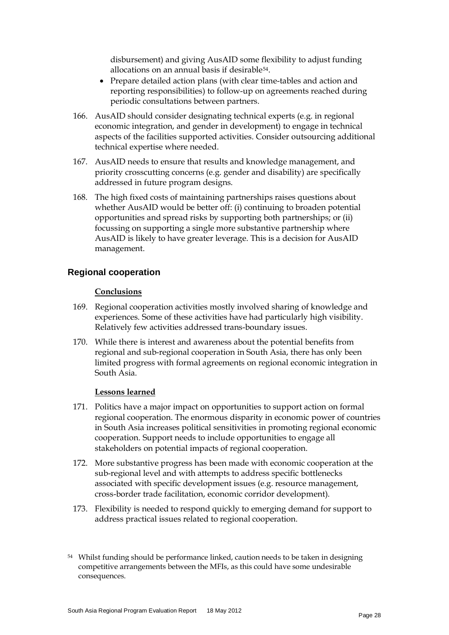<span id="page-33-0"></span>disbursement) and giving AusAID some flexibility to adjust funding allocations on an annual basis if desirable[54.](#page-32-0)

- Prepare detailed action plans (with clear time-tables and action and reporting responsibilities) to follow-up on agreements reached during periodic consultations between partners.
- 166. AusAID should consider designating technical experts (e.g. in regional economic integration, and gender in development) to engage in technical aspects of the facilities supported activities. Consider outsourcing additional technical expertise where needed.
- 167. AusAID needs to ensure that results and knowledge management, and priority crosscutting concerns (e.g. gender and disability) are specifically addressed in future program designs.
- 168. The high fixed costs of maintaining partnerships raises questions about whether AusAID would be better off: (i) continuing to broaden potential opportunities and spread risks by supporting both partnerships; or (ii) focussing on supporting a single more substantive partnership where AusAID is likely to have greater leverage. This is a decision for AusAID management.

# **Regional cooperation**

#### **Conclusions**

- 169. Regional cooperation activities mostly involved sharing of knowledge and experiences. Some of these activities have had particularly high visibility. Relatively few activities addressed trans-boundary issues.
- 170. While there is interest and awareness about the potential benefits from regional and sub-regional cooperation in South Asia, there has only been limited progress with formal agreements on regional economic integration in South Asia.

#### **Lessons learned**

- 171. Politics have a major impact on opportunities to support action on formal regional cooperation. The enormous disparity in economic power of countries in South Asia increases political sensitivities in promoting regional economic cooperation. Support needs to include opportunities to engage all stakeholders on potential impacts of regional cooperation.
- 172. More substantive progress has been made with economic cooperation at the sub-regional level and with attempts to address specific bottlenecks associated with specific development issues (e.g. resource management, cross-border trade facilitation, economic corridor development).
- 173. Flexibility is needed to respond quickly to emerging demand for support to address practical issues related to regional cooperation.

<sup>&</sup>lt;sup>54</sup> Whilst funding should be performance linked, caution needs to be taken in designing competitive arrangements between the MFIs, as this could have some undesirable consequences.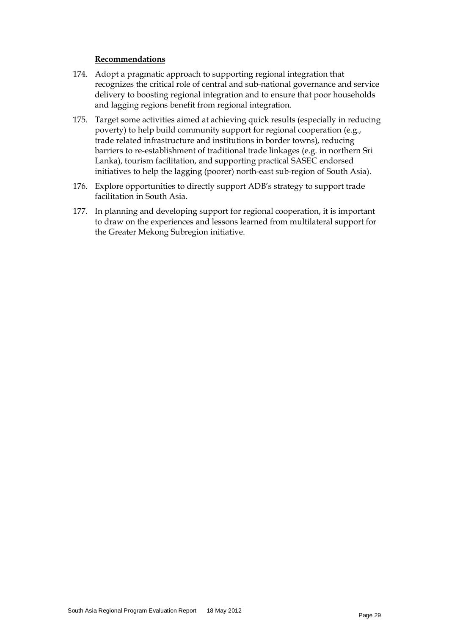#### **Recommendations**

- 174. Adopt a pragmatic approach to supporting regional integration that recognizes the critical role of central and sub-national governance and service delivery to boosting regional integration and to ensure that poor households and lagging regions benefit from regional integration.
- 175. Target some activities aimed at achieving quick results (especially in reducing poverty) to help build community support for regional cooperation (e.g., trade related infrastructure and institutions in border towns), reducing barriers to re-establishment of traditional trade linkages (e.g. in northern Sri Lanka), tourism facilitation, and supporting practical SASEC endorsed initiatives to help the lagging (poorer) north-east sub-region of South Asia).
- 176. Explore opportunities to directly support ADB's strategy to support trade facilitation in South Asia.
- 177. In planning and developing support for regional cooperation, it is important to draw on the experiences and lessons learned from multilateral support for the Greater Mekong Subregion initiative.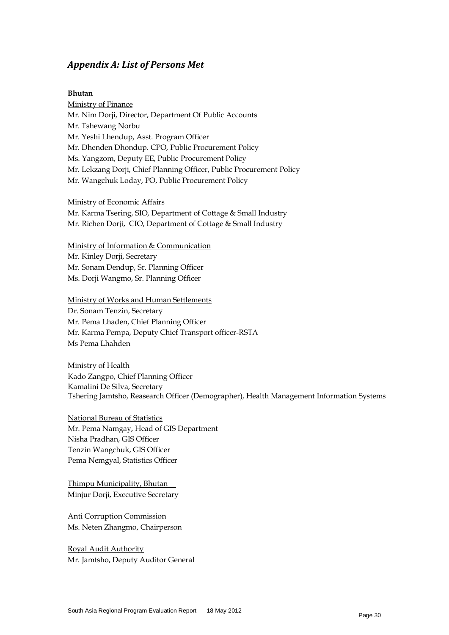# *Appendix A: List of Persons Met*

#### **Bhutan**

Ministry of Finance Mr. Nim Dorji, Director, Department Of Public Accounts Mr. Tshewang Norbu Mr. Yeshi Lhendup, Asst. Program Officer Mr. Dhenden Dhondup. CPO, Public Procurement Policy Ms. Yangzom, Deputy EE, Public Procurement Policy Mr. Lekzang Dorji, Chief Planning Officer, Public Procurement Policy Mr. Wangchuk Loday, PO, Public Procurement Policy

Ministry of Economic Affairs

Mr. Karma Tsering, SIO, Department of Cottage & Small Industry Mr. Richen Dorji, CIO, Department of Cottage & Small Industry

Ministry of Information & Communication Mr. Kinley Dorji, Secretary Mr. Sonam Dendup, Sr. Planning Officer Ms. Dorji Wangmo, Sr. Planning Officer

Ministry of Works and Human Settlements Dr. Sonam Tenzin, Secretary Mr. Pema Lhaden, Chief Planning Officer Mr. Karma Pempa, Deputy Chief Transport officer-RSTA

Ms Pema Lhahden

Ministry of Health Kado Zangpo, Chief Planning Officer Kamalini De Silva, Secretary Tshering Jamtsho, Reasearch Officer (Demographer), Health Management Information Systems

National Bureau of Statistics Mr. Pema Namgay, Head of GIS Department Nisha Pradhan, GIS Officer Tenzin Wangchuk, GIS Officer Pema Nemgyal, Statistics Officer

Thimpu Municipality, Bhutan Minjur Dorji, Executive Secretary

Anti Corruption Commission Ms. Neten Zhangmo, Chairperson

Royal Audit Authority Mr. Jamtsho, Deputy Auditor General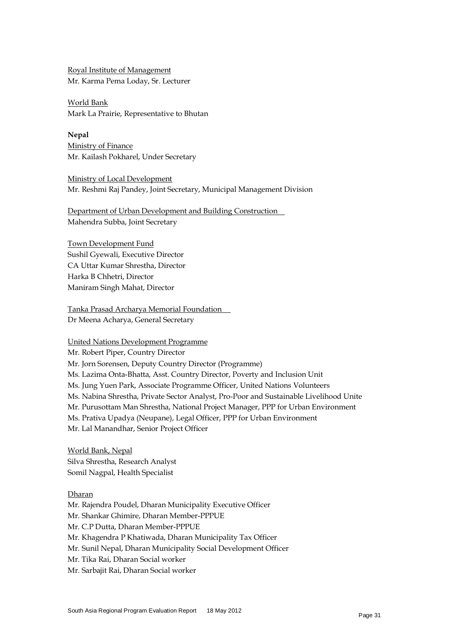Royal Institute of Management Mr. Karma Pema Loday, Sr. Lecturer

World Bank Mark La Prairie, Representative to Bhutan

**Nepal** Ministry of Finance Mr. Kailash Pokharel, Under Secretary

Ministry of Local Development Mr. Reshmi Raj Pandey, Joint Secretary, Municipal Management Division

Department of Urban Development and Building Construction Mahendra Subba, Joint Secretary

Town Development Fund Sushil Gyewali, Executive Director CA Uttar Kumar Shrestha, Director Harka B Chhetri, Director Maniram Singh Mahat, Director

Tanka Prasad Archarya Memorial Foundation Dr Meena Acharya, General Secretary

United Nations Development Programme

Mr. Robert Piper, Country Director

Mr. Jorn Sorensen, Deputy Country Director (Programme)

Ms. Lazima Onta-Bhatta, Asst. Country Director, Poverty and Inclusion Unit

Ms. Jung Yuen Park, Associate Programme Officer, United Nations Volunteers

Ms. Nabina Shrestha, Private Sector Analyst, Pro-Poor and Sustainable Livelihood Unite

Mr. Purusottam Man Shrestha, National Project Manager, PPP for Urban Environment

Ms. Prativa Upadya (Neupane), Legal Officer, PPP for Urban Environment

Mr. Lal Manandhar, Senior Project Officer

World Bank, Nepal Silva Shrestha, Research Analyst Somil Nagpal, Health Specialist

Dharan

Mr. Rajendra Poudel, Dharan Municipality Executive Officer Mr. Shankar Ghimire, Dharan Member-PPPUE Mr. C.P Dutta, Dharan Member-PPPUE Mr. Khagendra P Khatiwada, Dharan Municipality Tax Officer Mr. Sunil Nepal, Dharan Municipality Social Development Officer Mr. Tika Rai, Dharan Social worker

Mr. Sarbajit Rai, Dharan Social worker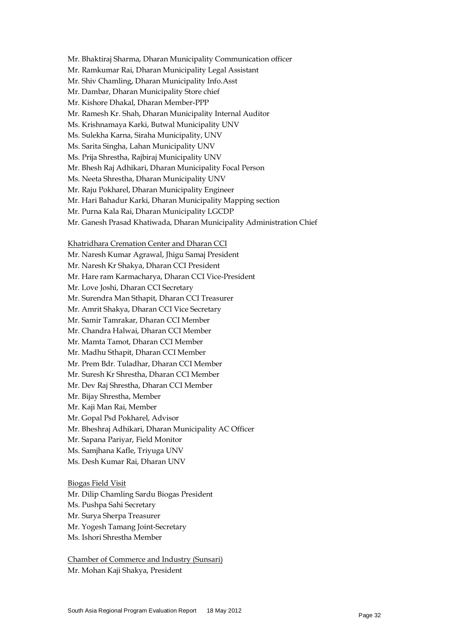Mr. Bhaktiraj Sharma, Dharan Municipality Communication officer

- Mr. Ramkumar Rai, Dharan Municipality Legal Assistant
- Mr. Shiv Chamling, Dharan Municipality Info.Asst
- Mr. Dambar, Dharan Municipality Store chief
- Mr. Kishore Dhakal, Dharan Member-PPP
- Mr. Ramesh Kr. Shah, Dharan Municipality Internal Auditor
- Ms. Krishnamaya Karki, Butwal Municipality UNV
- Ms. Sulekha Karna, Siraha Municipality, UNV
- Ms. Sarita Singha, Lahan Municipality UNV
- Ms. Prija Shrestha, Rajbiraj Municipality UNV
- Mr. Bhesh Raj Adhikari, Dharan Municipality Focal Person
- Ms. Neeta Shrestha, Dharan Municipality UNV
- Mr. Raju Pokharel, Dharan Municipality Engineer
- Mr. Hari Bahadur Karki, Dharan Municipality Mapping section
- Mr. Purna Kala Rai, Dharan Municipality LGCDP
- Mr. Ganesh Prasad Khatiwada, Dharan Municipality Administration Chief

Khatridhara Cremation Center and Dharan CCI

- Mr. Naresh Kumar Agrawal, Jhigu Samaj President
- Mr. Naresh Kr Shakya, Dharan CCI President
- Mr. Hare ram Karmacharya, Dharan CCI Vice-President
- Mr. Love Joshi, Dharan CCI Secretary
- Mr. Surendra Man Sthapit, Dharan CCI Treasurer
- Mr. Amrit Shakya, Dharan CCI Vice Secretary
- Mr. Samir Tamrakar, Dharan CCI Member
- Mr. Chandra Halwai, Dharan CCI Member
- Mr. Mamta Tamot, Dharan CCI Member
- Mr. Madhu Sthapit, Dharan CCI Member
- Mr. Prem Bdr. Tuladhar, Dharan CCI Member
- Mr. Suresh Kr Shrestha, Dharan CCI Member
- Mr. Dev Raj Shrestha, Dharan CCI Member
- Mr. Bijay Shrestha, Member
- Mr. Kaji Man Rai, Member
- Mr. Gopal Psd Pokharel, Advisor
- Mr. Bheshraj Adhikari, Dharan Municipality AC Officer
- Mr. Sapana Pariyar, Field Monitor
- Ms. Samjhana Kafle, Triyuga UNV
- Ms. Desh Kumar Rai, Dharan UNV
- Biogas Field Visit
- Mr. Dilip Chamling Sardu Biogas President
- Ms. Pushpa Sahi Secretary
- Mr. Surya Sherpa Treasurer
- Mr. Yogesh Tamang Joint-Secretary
- Ms. Ishori Shrestha Member

Chamber of Commerce and Industry (Sunsari) Mr. Mohan Kaji Shakya, President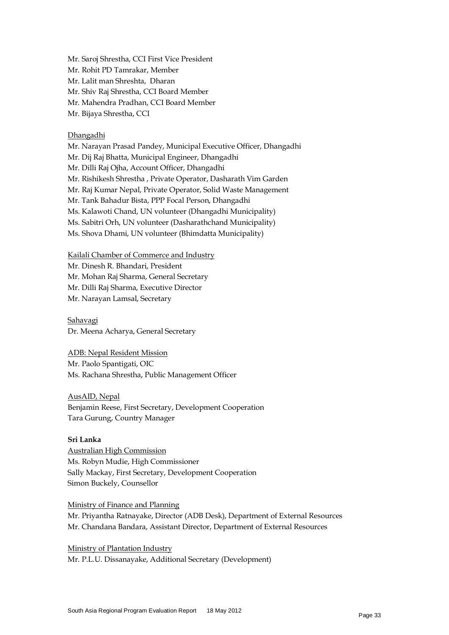Mr. Saroj Shrestha, CCI First Vice President Mr. Rohit PD Tamrakar, Member Mr. Lalit man Shreshta, Dharan Mr. Shiv Raj Shrestha, CCI Board Member Mr. Mahendra Pradhan, CCI Board Member Mr. Bijaya Shrestha, CCI

#### Dhangadhi

Mr. Narayan Prasad Pandey, Municipal Executive Officer, Dhangadhi Mr. Dij Raj Bhatta, Municipal Engineer, Dhangadhi Mr. Dilli Raj Ojha, Account Officer, Dhangadhi Mr. Rishikesh Shrestha , Private Operator, Dasharath Vim Garden Mr. Raj Kumar Nepal, Private Operator, Solid Waste Management Mr. Tank Bahadur Bista, PPP Focal Person, Dhangadhi Ms. Kalawoti Chand, UN volunteer (Dhangadhi Municipality) Ms. Sabitri Orh, UN volunteer (Dasharathchand Municipality) Ms. Shova Dhami, UN volunteer (Bhimdatta Municipality)

Kailali Chamber of Commerce and Industry

Mr. Dinesh R. Bhandari, President

Mr. Mohan Raj Sharma, General Secretary

Mr. Dilli Raj Sharma, Executive Director

Mr. Narayan Lamsal, Secretary

#### Sahavagi Dr. Meena Acharya, General Secretary

ADB: Nepal Resident Mission

Mr. Paolo Spantigati, OIC Ms. Rachana Shrestha, Public Management Officer

AusAID, Nepal Benjamin Reese, First Secretary, Development Cooperation Tara Gurung, Country Manager

#### **Sri Lanka**

Australian High Commission Ms. Robyn Mudie, High Commissioner Sally Mackay, First Secretary, Development Cooperation Simon Buckely, Counsellor

Ministry of Finance and Planning

Mr. Priyantha Ratnayake, Director (ADB Desk), Department of External Resources Mr. Chandana Bandara, Assistant Director, Department of External Resources

Ministry of Plantation Industry Mr. P.L.U. Dissanayake, Additional Secretary (Development)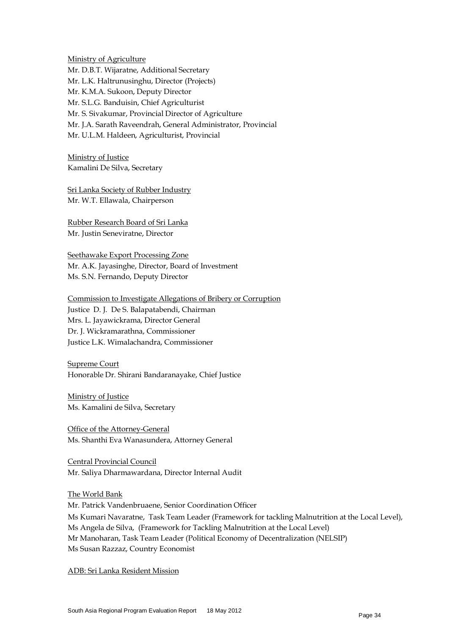Ministry of Agriculture Mr. D.B.T. Wijaratne, Additional Secretary Mr. L.K. Haltrunusinghu, Director (Projects) Mr. K.M.A. Sukoon, Deputy Director Mr. S.L.G. Banduisin, Chief Agriculturist Mr. S. Sivakumar, Provincial Director of Agriculture Mr. J.A. Sarath Raveendrah, General Administrator, Provincial Mr. U.L.M. Haldeen, Agriculturist, Provincial

Ministry of Justice Kamalini De Silva, Secretary

Sri Lanka Society of Rubber Industry Mr. W.T. Ellawala, Chairperson

Rubber Research Board of Sri Lanka Mr. Justin Seneviratne, Director

Seethawake Export Processing Zone Mr. A.K. Jayasinghe, Director, Board of Investment Ms. S.N. Fernando, Deputy Director

Commission to Investigate Allegations of Bribery or Corruption Justice D. J. De S. Balapatabendi, Chairman Mrs. L. Jayawickrama, Director General Dr. J. Wickramarathna, Commissioner Justice L.K. Wimalachandra, Commissioner

Supreme Court Honorable Dr. Shirani Bandaranayake, Chief Justice

Ministry of Justice Ms. Kamalini de Silva, Secretary

Office of the Attorney-General Ms. Shanthi Eva Wanasundera, Attorney General

Central Provincial Council Mr. Saliya Dharmawardana, Director Internal Audit

The World Bank Mr. Patrick Vandenbruaene, Senior Coordination Officer

Ms Kumari Navaratne, Task Team Leader (Framework for tackling Malnutrition at the Local Level), Ms Angela de Silva, (Framework for Tackling Malnutrition at the Local Level) Mr Manoharan, Task Team Leader (Political Economy of Decentralization (NELSIP) Ms Susan Razzaz, Country Economist

ADB: Sri Lanka Resident Mission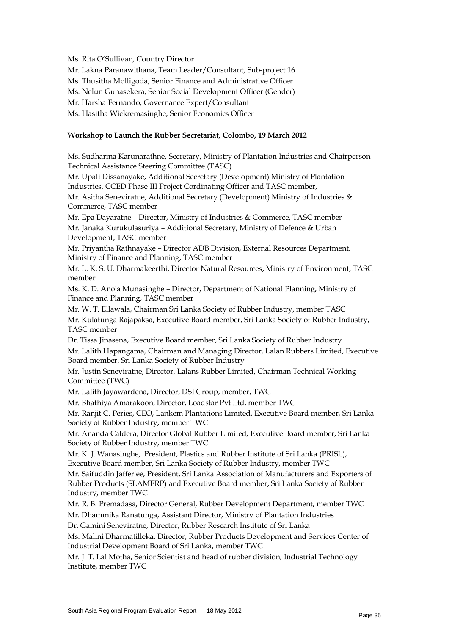Ms. Rita O'Sullivan, Country Director

Mr. Lakna Paranawithana, Team Leader/Consultant, Sub-project 16

Ms. Thusitha Molligoda, Senior Finance and Administrative Officer

Ms. Nelun Gunasekera, Senior Social Development Officer (Gender)

Mr. Harsha Fernando, Governance Expert/Consultant

Ms. Hasitha Wickremasinghe, Senior Economics Officer

#### **Workshop to Launch the Rubber Secretariat, Colombo, 19 March 2012**

Ms. Sudharma Karunarathne, Secretary, Ministry of Plantation Industries and Chairperson Technical Assistance Steering Committee (TASC)

Mr. Upali Dissanayake, Additional Secretary (Development) Ministry of Plantation Industries, CCED Phase III Project Cordinating Officer and TASC member,

Mr. Asitha Seneviratne, Additional Secretary (Development) Ministry of Industries & Commerce, TASC member

Mr. Epa Dayaratne – Director, Ministry of Industries & Commerce, TASC member Mr. Janaka Kurukulasuriya – Additional Secretary, Ministry of Defence & Urban Development, TASC member

Mr. Priyantha Rathnayake – Director ADB Division, External Resources Department, Ministry of Finance and Planning, TASC member

Mr. L. K. S. U. Dharmakeerthi, Director Natural Resources, Ministry of Environment, TASC member

Ms. K. D. Anoja Munasinghe – Director, Department of National Planning, Ministry of Finance and Planning, TASC member

Mr. W. T. Ellawala, Chairman Sri Lanka Society of Rubber Industry, member TASC Mr. Kulatunga Rajapaksa, Executive Board member, Sri Lanka Society of Rubber Industry, TASC member

Dr. Tissa Jinasena, Executive Board member, Sri Lanka Society of Rubber Industry Mr. Lalith Hapangama, Chairman and Managing Director, Lalan Rubbers Limited, Executive Board member, Sri Lanka Society of Rubber Industry

Mr. Justin Seneviratne, Director, Lalans Rubber Limited, Chairman Technical Working Committee (TWC)

Mr. Lalith Jayawardena, Director, DSI Group, member, TWC

Mr. Bhathiya Amarakoon, Director, Loadstar Pvt Ltd, member TWC

Mr. Ranjit C. Peries, CEO, Lankem Plantations Limited, Executive Board member, Sri Lanka Society of Rubber Industry, member TWC

Mr. Ananda Caldera, Director Global Rubber Limited, Executive Board member, Sri Lanka Society of Rubber Industry, member TWC

Mr. K. J. Wanasinghe, President, Plastics and Rubber Institute of Sri Lanka (PRISL), Executive Board member, Sri Lanka Society of Rubber Industry, member TWC

Mr. Saifuddin Jafferjee, President, Sri Lanka Association of Manufacturers and Exporters of Rubber Products (SLAMERP) and Executive Board member, Sri Lanka Society of Rubber Industry, member TWC

Mr. R. B. Premadasa, Director General, Rubber Development Department, member TWC

Mr. Dhammika Ranatunga, Assistant Director, Ministry of Plantation Industries

Dr. Gamini Seneviratne, Director, Rubber Research Institute of Sri Lanka

Ms. Malini Dharmatilleka, Director, Rubber Products Development and Services Center of Industrial Development Board of Sri Lanka, member TWC

Mr. J. T. Lal Motha, Senior Scientist and head of rubber division, Industrial Technology Institute, member TWC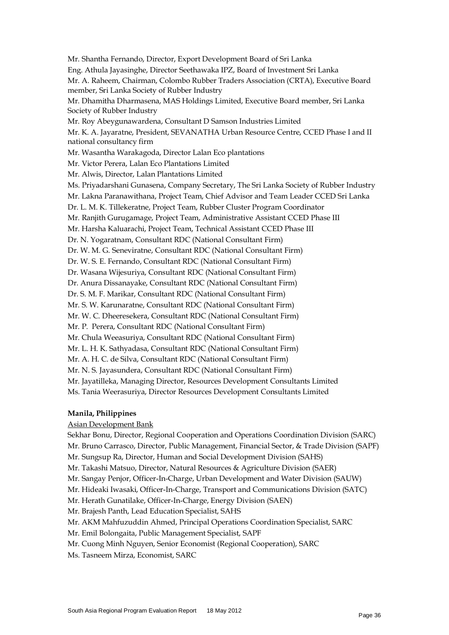Mr. Shantha Fernando, Director, Export Development Board of Sri Lanka Eng. Athula Jayasinghe, Director Seethawaka IPZ, Board of Investment Sri Lanka Mr. A. Raheem, Chairman, Colombo Rubber Traders Association (CRTA), Executive Board member, Sri Lanka Society of Rubber Industry Mr. Dhamitha Dharmasena, MAS Holdings Limited, Executive Board member, Sri Lanka Society of Rubber Industry Mr. Roy Abeygunawardena, Consultant D Samson Industries Limited Mr. K. A. Jayaratne, President, SEVANATHA Urban Resource Centre, CCED Phase I and II national consultancy firm Mr. Wasantha Warakagoda, Director Lalan Eco plantations Mr. Victor Perera, Lalan Eco Plantations Limited Mr. Alwis, Director, Lalan Plantations Limited Ms. Priyadarshani Gunasena, Company Secretary, The Sri Lanka Society of Rubber Industry Mr. Lakna Paranawithana, Project Team, Chief Advisor and Team Leader CCED Sri Lanka Dr. L. M. K. Tillekeratne, Project Team, Rubber Cluster Program Coordinator Mr. Ranjith Gurugamage, Project Team, Administrative Assistant CCED Phase III Mr. Harsha Kaluarachi, Project Team, Technical Assistant CCED Phase III Dr. N. Yogaratnam, Consultant RDC (National Consultant Firm) Dr. W. M. G. Seneviratne, Consultant RDC (National Consultant Firm) Dr. W. S. E. Fernando, Consultant RDC (National Consultant Firm) Dr. Wasana Wijesuriya, Consultant RDC (National Consultant Firm) Dr. Anura Dissanayake, Consultant RDC (National Consultant Firm) Dr. S. M. F. Marikar, Consultant RDC (National Consultant Firm) Mr. S. W. Karunaratne, Consultant RDC (National Consultant Firm) Mr. W. C. Dheeresekera, Consultant RDC (National Consultant Firm) Mr. P. Perera, Consultant RDC (National Consultant Firm) Mr. Chula Weeasuriya, Consultant RDC (National Consultant Firm) Mr. L. H. K. Sathyadasa, Consultant RDC (National Consultant Firm) Mr. A. H. C. de Silva, Consultant RDC (National Consultant Firm) Mr. N. S. Jayasundera, Consultant RDC (National Consultant Firm) Mr. Jayatilleka, Managing Director, Resources Development Consultants Limited Ms. Tania Weerasuriya, Director Resources Development Consultants Limited

#### **Manila, Philippines**

#### Asian Development Bank

Sekhar Bonu, Director, Regional Cooperation and Operations Coordination Division (SARC)

Mr. Bruno Carrasco, Director, Public Management, Financial Sector, & Trade Division (SAPF)

Mr. Sungsup Ra, Director, Human and Social Development Division (SAHS)

Mr. Takashi Matsuo, Director, Natural Resources & Agriculture Division (SAER)

Mr. Sangay Penjor, Officer-In-Charge, Urban Development and Water Division (SAUW)

Mr. Hideaki Iwasaki, Officer-In-Charge, Transport and Communications Division (SATC)

Mr. Herath Gunatilake, Officer-In-Charge, Energy Division (SAEN)

Mr. Brajesh Panth, Lead Education Specialist, SAHS

Mr. AKM Mahfuzuddin Ahmed, Principal Operations Coordination Specialist, SARC

Mr. Emil Bolongaita, Public Management Specialist, SAPF

Mr. Cuong Minh Nguyen, Senior Economist (Regional Cooperation), SARC

Ms. Tasneem Mirza, Economist, SARC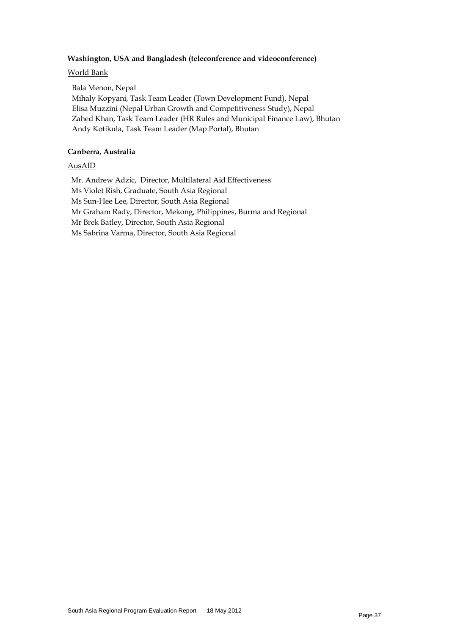#### **Washington, USA and Bangladesh (teleconference and videoconference)**

#### World Bank

Bala Menon, Nepal Mihaly Kopyani, Task Team Leader (Town Development Fund), Nepal Elisa Muzzini (Nepal Urban Growth and Competitiveness Study), Nepal Zahed Khan, Task Team Leader (HR Rules and Municipal Finance Law), Bhutan Andy Kotikula, Task Team Leader (Map Portal), Bhutan

#### **Canberra, Australia**

#### AusAID

Mr. Andrew Adzic, Director, Multilateral Aid Effectiveness Ms Violet Rish, Graduate, South Asia Regional Ms Sun-Hee Lee, Director, South Asia Regional Mr Graham Rady, Director, Mekong, Philippines, Burma and Regional Mr Brek Batley, Director, South Asia Regional Ms Sabrina Varma, Director, South Asia Regional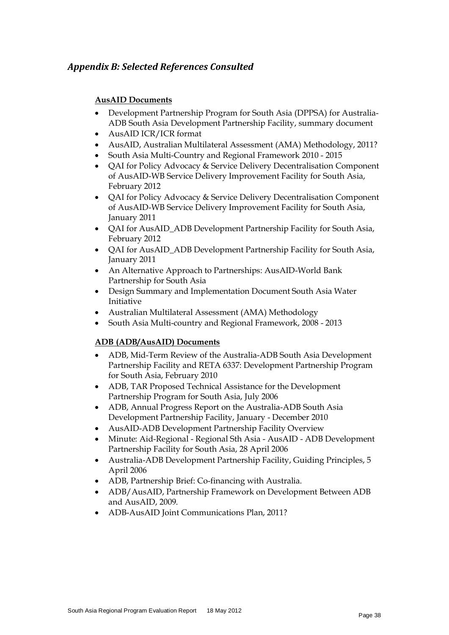# *Appendix B: Selected References Consulted*

# **AusAID Documents**

- Development Partnership Program for South Asia (DPPSA) for Australia-ADB South Asia Development Partnership Facility, summary document
- AusAID ICR/ICR format
- AusAID, Australian Multilateral Assessment (AMA) Methodology, 2011?
- South Asia Multi-Country and Regional Framework 2010 2015
- QAI for Policy Advocacy & Service Delivery Decentralisation Component of AusAID-WB Service Delivery Improvement Facility for South Asia, February 2012
- QAI for Policy Advocacy & Service Delivery Decentralisation Component of AusAID-WB Service Delivery Improvement Facility for South Asia, January 2011
- QAI for AusAID\_ADB Development Partnership Facility for South Asia, February 2012
- QAI for AusAID\_ADB Development Partnership Facility for South Asia, January 2011
- An Alternative Approach to Partnerships: AusAID-World Bank Partnership for South Asia
- Design Summary and Implementation Document South Asia Water Initiative
- Australian Multilateral Assessment (AMA) Methodology
- South Asia Multi-country and Regional Framework, 2008 2013

#### **ADB (ADB/AusAID) Documents**

- ADB, Mid-Term Review of the Australia-ADB South Asia Development Partnership Facility and RETA 6337: Development Partnership Program for South Asia, February 2010
- ADB, TAR Proposed Technical Assistance for the Development Partnership Program for South Asia, July 2006
- ADB, Annual Progress Report on the Australia-ADB South Asia Development Partnership Facility, January - December 2010
- AusAID-ADB Development Partnership Facility Overview
- Minute: Aid-Regional Regional Sth Asia AusAID ADB Development Partnership Facility for South Asia, 28 April 2006
- Australia-ADB Development Partnership Facility, Guiding Principles, 5 April 2006
- ADB, Partnership Brief: Co-financing with Australia.
- ADB/AusAID, Partnership Framework on Development Between ADB and AusAID, 2009.
- ADB-AusAID Joint Communications Plan, 2011?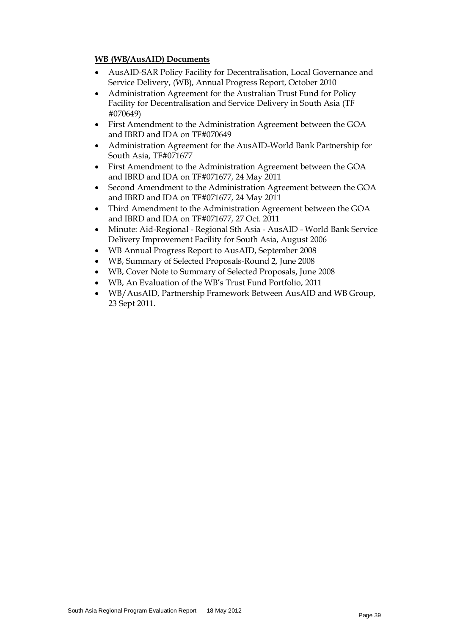#### **WB (WB/AusAID) Documents**

- AusAID-SAR Policy Facility for Decentralisation, Local Governance and Service Delivery, (WB), Annual Progress Report, October 2010
- Administration Agreement for the Australian Trust Fund for Policy Facility for Decentralisation and Service Delivery in South Asia (TF #070649)
- First Amendment to the Administration Agreement between the GOA and IBRD and IDA on TF#070649
- Administration Agreement for the AusAID-World Bank Partnership for South Asia, TF#071677
- First Amendment to the Administration Agreement between the GOA and IBRD and IDA on TF#071677, 24 May 2011
- Second Amendment to the Administration Agreement between the GOA and IBRD and IDA on TF#071677, 24 May 2011
- Third Amendment to the Administration Agreement between the GOA and IBRD and IDA on TF#071677, 27 Oct. 2011
- Minute: Aid-Regional Regional Sth Asia AusAID World Bank Service Delivery Improvement Facility for South Asia, August 2006
- WB Annual Progress Report to AusAID, September 2008
- WB, Summary of Selected Proposals-Round 2, June 2008
- WB, Cover Note to Summary of Selected Proposals, June 2008
- WB, An Evaluation of the WB's Trust Fund Portfolio, 2011
- WB/AusAID, Partnership Framework Between AusAID and WB Group, 23 Sept 2011.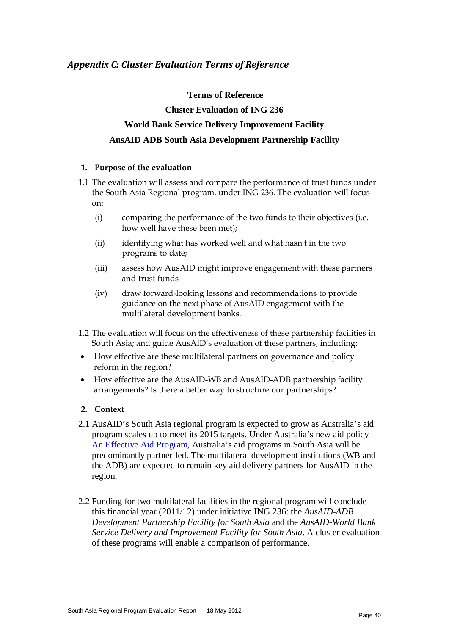#### **Terms of Reference**

# **Cluster Evaluation of ING 236 World Bank Service Delivery Improvement Facility AusAID ADB South Asia Development Partnership Facility**

#### **1. Purpose of the evaluation**

- 1.1 The evaluation will assess and compare the performance of trust funds under the South Asia Regional program, under ING 236. The evaluation will focus on:
	- (i) comparing the performance of the two funds to their objectives (i.e. how well have these been met);
	- (ii) identifying what has worked well and what hasn't in the two programs to date;
	- (iii) assess how AusAID might improve engagement with these partners and trust funds
	- (iv) draw forward-looking lessons and recommendations to provide guidance on the next phase of AusAID engagement with the multilateral development banks.
- 1.2 The evaluation will focus on the effectiveness of these partnership facilities in South Asia; and guide AusAID's evaluation of these partners, including:
- How effective are these multilateral partners on governance and policy reform in the region?
- How effective are the AusAID-WB and AusAID-ADB partnership facility arrangements? Is there a better way to structure our partnerships?

# **2. Context**

- 2.1 AusAID's South Asia regional program is expected to grow as Australia's aid program scales up to meet its 2015 targets. Under Australia's new aid policy [An Effective Aid Program,](http://www.ausaid.gov.au/makediff/aid-policy.cfm) Australia's aid programs in South Asia will be predominantly partner-led. The multilateral development institutions (WB and the ADB) are expected to remain key aid delivery partners for AusAID in the region.
- 2.2 Funding for two multilateral facilities in the regional program will conclude this financial year (2011/12) under initiative ING 236: the *AusAID-ADB Development Partnership Facility for South Asia* and the *AusAID-World Bank Service Delivery and Improvement Facility for South Asia*. A cluster evaluation of these programs will enable a comparison of performance.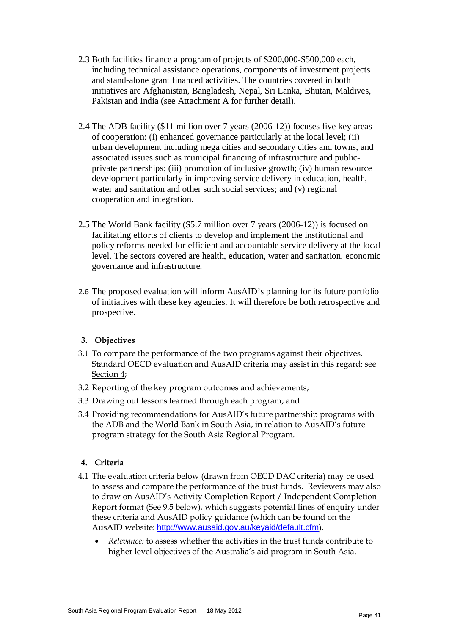- 2.3 Both facilities finance a program of projects of \$200,000-\$500,000 each, including technical assistance operations, components of investment projects and stand-alone grant financed activities. The countries covered in both initiatives are Afghanistan, Bangladesh, Nepal, Sri Lanka, Bhutan, Maldives, Pakistan and India (see Attachment A for further detail).
- 2.4 The ADB facility (\$11 million over 7 years (2006-12)) focuses five key areas of cooperation: (i) enhanced governance particularly at the local level; (ii) urban development including mega cities and secondary cities and towns, and associated issues such as municipal financing of infrastructure and publicprivate partnerships; (iii) promotion of inclusive growth; (iv) human resource development particularly in improving service delivery in education, health, water and sanitation and other such social services; and (v) regional cooperation and integration.
- 2.5 The World Bank facility (\$5.7 million over 7 years (2006-12)) is focused on facilitating efforts of clients to develop and implement the institutional and policy reforms needed for efficient and accountable service delivery at the local level. The sectors covered are health, education, water and sanitation, economic governance and infrastructure.
- 2.6 The proposed evaluation will inform AusAID's planning for its future portfolio of initiatives with these key agencies. It will therefore be both retrospective and prospective.

# **3. Objectives**

- 3.1 To compare the performance of the two programs against their objectives. Standard OECD evaluation and AusAID criteria may assist in this regard: see Section 4;
- 3.2 Reporting of the key program outcomes and achievements;
- 3.3 Drawing out lessons learned through each program; and
- 3.4 Providing recommendations for AusAID's future partnership programs with the ADB and the World Bank in South Asia, in relation to AusAID's future program strategy for the South Asia Regional Program.

# **4. Criteria**

- 4.1 The evaluation criteria below (drawn from OECD DAC criteria) may be used to assess and compare the performance of the trust funds. Reviewers may also to draw on AusAID's Activity Completion Report / Independent Completion Report format (See 9.5 below), which suggests potential lines of enquiry under these criteria and AusAID policy guidance (which can be found on the AusAID website: <http://www.ausaid.gov.au/keyaid/default.cfm>).
	- *Relevance:* to assess whether the activities in the trust funds contribute to higher level objectives of the Australia's aid program in South Asia.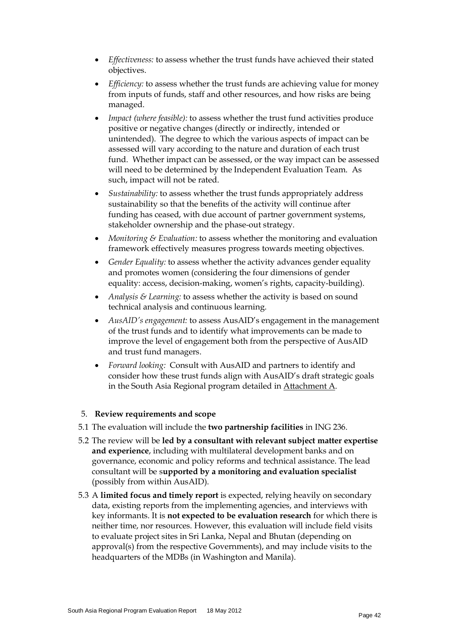- *Effectiveness:* to assess whether the trust funds have achieved their stated objectives.
- *Efficiency:* to assess whether the trust funds are achieving value for money from inputs of funds, staff and other resources, and how risks are being managed.
- *Impact (where feasible):* to assess whether the trust fund activities produce positive or negative changes (directly or indirectly, intended or unintended). The degree to which the various aspects of impact can be assessed will vary according to the nature and duration of each trust fund. Whether impact can be assessed, or the way impact can be assessed will need to be determined by the Independent Evaluation Team. As such, impact will not be rated.
- *Sustainability:* to assess whether the trust funds appropriately address sustainability so that the benefits of the activity will continue after funding has ceased, with due account of partner government systems, stakeholder ownership and the phase-out strategy.
- *Monitoring & Evaluation:* to assess whether the monitoring and evaluation framework effectively measures progress towards meeting objectives.
- *Gender Equality:* to assess whether the activity advances gender equality and promotes women (considering the four dimensions of gender equality: access, decision-making, women's rights, capacity-building).
- *Analysis & Learning:* to assess whether the activity is based on sound technical analysis and continuous learning.
- *AusAID's engagement:* to assess AusAID's engagement in the management of the trust funds and to identify what improvements can be made to improve the level of engagement both from the perspective of AusAID and trust fund managers.
- *Forward looking:* Consult with AusAID and partners to identify and consider how these trust funds align with AusAID's draft strategic goals in the South Asia Regional program detailed in Attachment A.

#### 5. **Review requirements and scope**

- 5.1 The evaluation will include the **two partnership facilities** in ING 236.
- 5.2 The review will be **led by a consultant with relevant subject matter expertise and experience**, including with multilateral development banks and on governance, economic and policy reforms and technical assistance. The lead consultant will be s**upported by a monitoring and evaluation specialist**  (possibly from within AusAID).
- 5.3 A **limited focus and timely report** is expected, relying heavily on secondary data, existing reports from the implementing agencies, and interviews with key informants. It is **not expected to be evaluation research** for which there is neither time, nor resources. However, this evaluation will include field visits to evaluate project sites in Sri Lanka, Nepal and Bhutan (depending on approval(s) from the respective Governments), and may include visits to the headquarters of the MDBs (in Washington and Manila).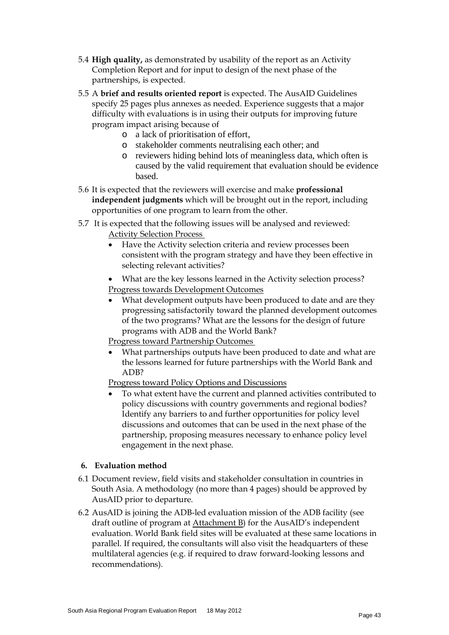- 5.4 **High quality,** as demonstrated by usability of the report as an Activity Completion Report and for input to design of the next phase of the partnerships, is expected.
- 5.5 A **brief and results oriented report** is expected. The AusAID Guidelines specify 25 pages plus annexes as needed. Experience suggests that a major difficulty with evaluations is in using their outputs for improving future program impact arising because of
	- o a lack of prioritisation of effort,
	- o stakeholder comments neutralising each other; and
	- o reviewers hiding behind lots of meaningless data, which often is caused by the valid requirement that evaluation should be evidence based.
- 5.6 It is expected that the reviewers will exercise and make **professional independent judgments** which will be brought out in the report, including opportunities of one program to learn from the other.
- 5.7 It is expected that the following issues will be analysed and reviewed: Activity Selection Process
	- Have the Activity selection criteria and review processes been consistent with the program strategy and have they been effective in selecting relevant activities?
	- What are the key lessons learned in the Activity selection process? Progress towards Development Outcomes
	- What development outputs have been produced to date and are they progressing satisfactorily toward the planned development outcomes of the two programs? What are the lessons for the design of future programs with ADB and the World Bank?
	- Progress toward Partnership Outcomes
	- What partnerships outputs have been produced to date and what are the lessons learned for future partnerships with the World Bank and ADB?

Progress toward Policy Options and Discussions

• To what extent have the current and planned activities contributed to policy discussions with country governments and regional bodies? Identify any barriers to and further opportunities for policy level discussions and outcomes that can be used in the next phase of the partnership, proposing measures necessary to enhance policy level engagement in the next phase.

#### **6. Evaluation method**

- 6.1 Document review, field visits and stakeholder consultation in countries in South Asia. A methodology (no more than 4 pages) should be approved by AusAID prior to departure.
- 6.2 AusAID is joining the ADB-led evaluation mission of the ADB facility (see draft outline of program at Attachment B) for the AusAID's independent evaluation. World Bank field sites will be evaluated at these same locations in parallel. If required, the consultants will also visit the headquarters of these multilateral agencies (e.g. if required to draw forward-looking lessons and recommendations).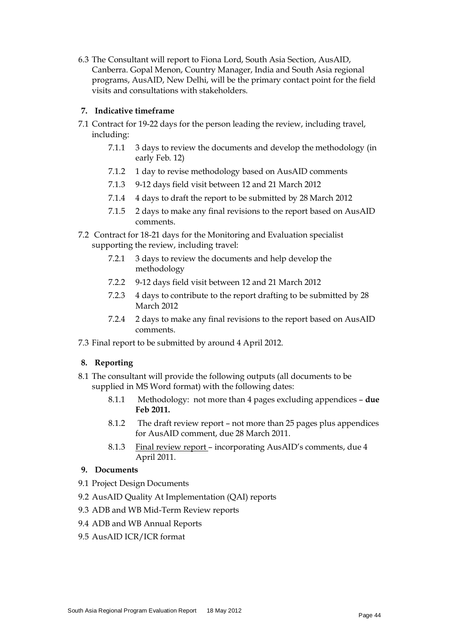6.3 The Consultant will report to Fiona Lord, South Asia Section, AusAID, Canberra. Gopal Menon, Country Manager, India and South Asia regional programs, AusAID, New Delhi, will be the primary contact point for the field visits and consultations with stakeholders.

### **7. Indicative timeframe**

- 7.1 Contract for 19-22 days for the person leading the review, including travel, including:
	- 7.1.1 3 days to review the documents and develop the methodology (in early Feb. 12)
	- 7.1.2 1 day to revise methodology based on AusAID comments
	- 7.1.3 9-12 days field visit between 12 and 21 March 2012
	- 7.1.4 4 days to draft the report to be submitted by 28 March 2012
	- 7.1.5 2 days to make any final revisions to the report based on AusAID comments.
- 7.2 Contract for 18-21 days for the Monitoring and Evaluation specialist supporting the review, including travel:
	- 7.2.1 3 days to review the documents and help develop the methodology
	- 7.2.2 9-12 days field visit between 12 and 21 March 2012
	- 7.2.3 4 days to contribute to the report drafting to be submitted by 28 March 2012
	- 7.2.4 2 days to make any final revisions to the report based on AusAID comments.
- 7.3 Final report to be submitted by around 4 April 2012.

# **8. Reporting**

- 8.1 The consultant will provide the following outputs (all documents to be supplied in MS Word format) with the following dates:
	- 8.1.1 Methodology: not more than 4 pages excluding appendices **due Feb 2011.**
	- 8.1.2 The draft review report not more than 25 pages plus appendices for AusAID comment, due 28 March 2011.
	- 8.1.3 Final review report incorporating AusAID's comments, due 4 April 2011.

#### **9. Documents**

- 9.1 Project Design Documents
- 9.2 AusAID Quality At Implementation (QAI) reports
- 9.3 ADB and WB Mid-Term Review reports
- 9.4 ADB and WB Annual Reports
- 9.5 AusAID ICR/ICR format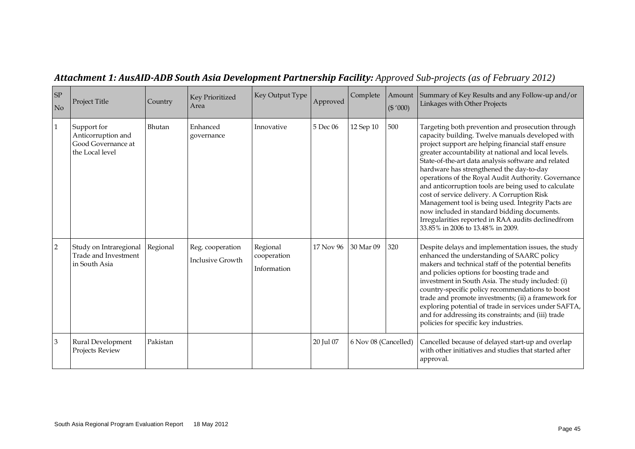| <b>SP</b><br>No | Project Title                                                              | Country  | Key Prioritized<br>Area                     | Key Output Type                        | Approved  | Complete             | Amount<br>(\$'000) | Summary of Key Results and any Follow-up and/or<br>Linkages with Other Projects                                                                                                                                                                                                                                                                                                                                                                                                                                                                                                                                                                                                      |
|-----------------|----------------------------------------------------------------------------|----------|---------------------------------------------|----------------------------------------|-----------|----------------------|--------------------|--------------------------------------------------------------------------------------------------------------------------------------------------------------------------------------------------------------------------------------------------------------------------------------------------------------------------------------------------------------------------------------------------------------------------------------------------------------------------------------------------------------------------------------------------------------------------------------------------------------------------------------------------------------------------------------|
| $\mathbf{1}$    | Support for<br>Anticorruption and<br>Good Governance at<br>the Local level | Bhutan   | Enhanced<br>governance                      | Innovative                             | 5 Dec 06  | 12 Sep 10            | 500                | Targeting both prevention and prosecution through<br>capacity building. Twelve manuals developed with<br>project support are helping financial staff ensure<br>greater accountability at national and local levels.<br>State-of-the-art data analysis software and related<br>hardware has strengthened the day-to-day<br>operations of the Royal Audit Authority. Governance<br>and anticorruption tools are being used to calculate<br>cost of service delivery. A Corruption Risk<br>Management tool is being used. Integrity Pacts are<br>now included in standard bidding documents.<br>Irregularities reported in RAA audits declinedfrom<br>33.85% in 2006 to 13.48% in 2009. |
| 2               | Study on Intraregional<br>Trade and Investment<br>in South Asia            | Regional | Reg. cooperation<br><b>Inclusive Growth</b> | Regional<br>cooperation<br>Information | 17 Nov 96 | 30 Mar 09            | 320                | Despite delays and implementation issues, the study<br>enhanced the understanding of SAARC policy<br>makers and technical staff of the potential benefits<br>and policies options for boosting trade and<br>investment in South Asia. The study included: (i)<br>country-specific policy recommendations to boost<br>trade and promote investments; (ii) a framework for<br>exploring potential of trade in services under SAFTA,<br>and for addressing its constraints; and (iii) trade<br>policies for specific key industries.                                                                                                                                                    |
| 3               | Rural Development<br>Projects Review                                       | Pakistan |                                             |                                        | 20 Jul 07 | 6 Nov 08 (Cancelled) |                    | Cancelled because of delayed start-up and overlap<br>with other initiatives and studies that started after<br>approval.                                                                                                                                                                                                                                                                                                                                                                                                                                                                                                                                                              |

# *Attachment 1: AusAID-ADB South Asia Development Partnership Facility: Approved Sub-projects (as of February 2012)*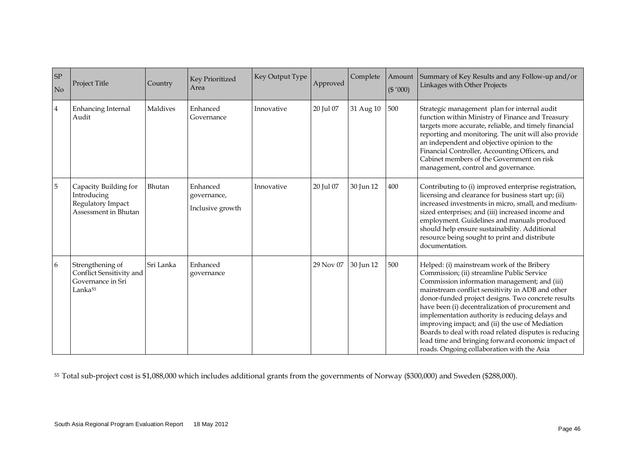<span id="page-51-0"></span>

| ${\rm SP}$<br>N <sub>o</sub> | Project Title                                                                            | Country   | Key Prioritized<br>Area                     | Key Output Type | Approved  | Complete  | Amount<br>(\$'000) | Summary of Key Results and any Follow-up and/or<br>Linkages with Other Projects                                                                                                                                                                                                                                                                                                                                                                                                                                                                                           |
|------------------------------|------------------------------------------------------------------------------------------|-----------|---------------------------------------------|-----------------|-----------|-----------|--------------------|---------------------------------------------------------------------------------------------------------------------------------------------------------------------------------------------------------------------------------------------------------------------------------------------------------------------------------------------------------------------------------------------------------------------------------------------------------------------------------------------------------------------------------------------------------------------------|
| $\overline{4}$               | Enhancing Internal<br>Audit                                                              | Maldives  | Enhanced<br>Governance                      | Innovative      | 20 Jul 07 | 31 Aug 10 | 500                | Strategic management plan for internal audit<br>function within Ministry of Finance and Treasury<br>targets more accurate, reliable, and timely financial<br>reporting and monitoring. The unit will also provide<br>an independent and objective opinion to the<br>Financial Controller, Accounting Officers, and<br>Cabinet members of the Government on risk<br>management, control and governance.                                                                                                                                                                    |
| $\mathbf 5$                  | Capacity Building for<br>Introducing<br>Regulatory Impact<br>Assessment in Bhutan        | Bhutan    | Enhanced<br>governance,<br>Inclusive growth | Innovative      | 20 Jul 07 | 30 Jun 12 | 400                | Contributing to (i) improved enterprise registration,<br>licensing and clearance for business start up; (ii)<br>increased investments in micro, small, and medium-<br>sized enterprises; and (iii) increased income and<br>employment. Guidelines and manuals produced<br>should help ensure sustainability. Additional<br>resource being sought to print and distribute<br>documentation.                                                                                                                                                                                |
| 6                            | Strengthening of<br>Conflict Sensitivity and<br>Governance in Sri<br>Lanka <sup>55</sup> | Sri Lanka | Enhanced<br>governance                      |                 | 29 Nov 07 | 30 Jun 12 | 500                | Helped: (i) mainstream work of the Bribery<br>Commission; (ii) streamline Public Service<br>Commission information management; and (iii)<br>mainstream conflict sensitivity in ADB and other<br>donor-funded project designs. Two concrete results<br>have been (i) decentralization of procurement and<br>implementation authority is reducing delays and<br>improving impact; and (ii) the use of Mediation<br>Boards to deal with road related disputes is reducing<br>lead time and bringing forward economic impact of<br>roads. Ongoing collaboration with the Asia |

<sup>55</sup>Total sub-project cost is \$1,088,000 which includes additional grants from the governments of Norway (\$300,000) and Sweden (\$288,000).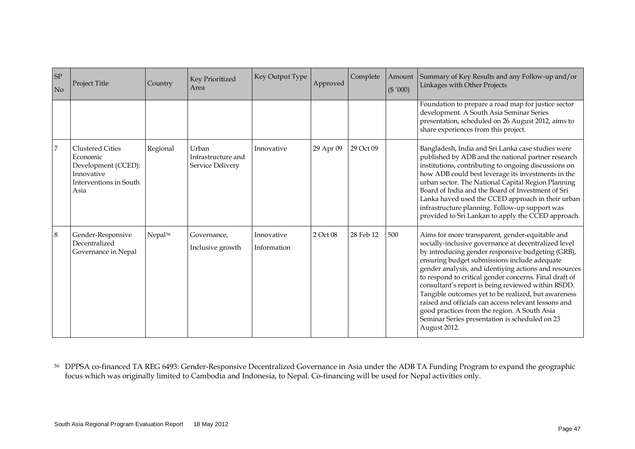<span id="page-52-0"></span>

| SP<br>N <sub>o</sub> | <b>Project Title</b>                                                                                       | Country             | Key Prioritized<br>Area                         | Key Output Type           | Approved  | Complete  | Amount<br>(\$'000) | Summary of Key Results and any Follow-up and/or<br>Linkages with Other Projects                                                                                                                                                                                                                                                                                                                                                                                                                                                                                                                                        |
|----------------------|------------------------------------------------------------------------------------------------------------|---------------------|-------------------------------------------------|---------------------------|-----------|-----------|--------------------|------------------------------------------------------------------------------------------------------------------------------------------------------------------------------------------------------------------------------------------------------------------------------------------------------------------------------------------------------------------------------------------------------------------------------------------------------------------------------------------------------------------------------------------------------------------------------------------------------------------------|
|                      |                                                                                                            |                     |                                                 |                           |           |           |                    | Foundation to prepare a road map for justice sector<br>development. A South Asia Seminar Series<br>presentation, scheduled on 26 August 2012, aims to<br>share experiences from this project.                                                                                                                                                                                                                                                                                                                                                                                                                          |
| 7                    | <b>Clustered Cities</b><br>Economic<br>Development (CCED):<br>Innovative<br>Interventions in South<br>Asia | Regional            | Urban<br>Infrastructure and<br>Service Delivery | Innovative                | 29 Apr 09 | 29 Oct 09 |                    | Bangladesh, India and Sri Lanka case studies were<br>published by ADB and the national partner research<br>institutions, contributing to ongoing discussions on<br>how ADB could best leverage its investments in the<br>urban sector. The National Capital Region Planning<br>Board of India and the Board of Investment of Sri<br>Lanka haved used the CCED approach in their urban<br>infrastructure planning. Follow-up support was<br>provided to Sri Lankan to apply the CCED approach.                                                                                                                          |
| 8                    | Gender-Responsive<br>Decentralized<br>Governance in Nepal                                                  | Nepal <sup>56</sup> | Governance,<br>Inclusive growth                 | Innovative<br>Information | 2 Oct 08  | 28 Feb 12 | 500                | Aims for more transparent, gender-equitable and<br>socially-inclusive governance at decentralized level<br>by introducing gender responsive budgeting (GRB),<br>ensuring budget submissions include adequate<br>gender analysis, and identiying actions and resources<br>to respond to critical gender concerns. Final draft of<br>consultant's report is being reviewed within RSDD.<br>Tangible outcomes yet to be realized, but awareness<br>raised and officials can access relevant lessons and<br>good practices from the region. A South Asia<br>Seminar Series presentation is scheduled on 23<br>August 2012. |

<sup>56</sup> DPPSA co-financed TA REG 6493: Gender-Responsive Decentralized Governance in Asia under the ADB TA Funding Program to expand the geographic focus which was originally limited to Cambodia and Indonesia, to Nepal. Co-financing will be used for Nepal activities only.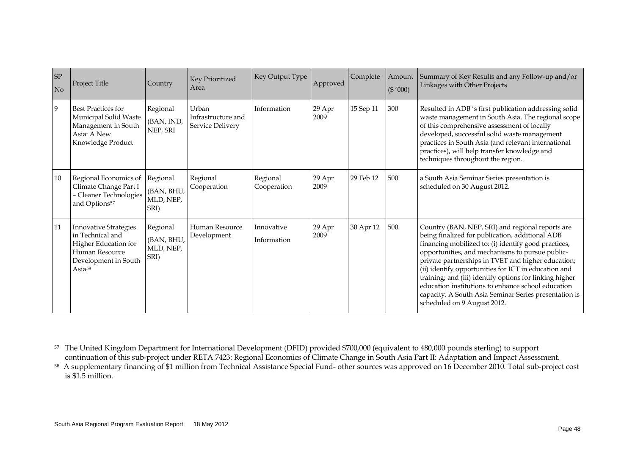<span id="page-53-0"></span>

| <b>SP</b><br>N <sub>o</sub> | Project Title                                                                                                                   | Country                                     | Key Prioritized<br>Area                         | Key Output Type           | Approved       | Complete  | Amount<br>(\$'000) | Summary of Key Results and any Follow-up and/or<br>Linkages with Other Projects                                                                                                                                                                                                                                                                                                                                                                                                                                                       |
|-----------------------------|---------------------------------------------------------------------------------------------------------------------------------|---------------------------------------------|-------------------------------------------------|---------------------------|----------------|-----------|--------------------|---------------------------------------------------------------------------------------------------------------------------------------------------------------------------------------------------------------------------------------------------------------------------------------------------------------------------------------------------------------------------------------------------------------------------------------------------------------------------------------------------------------------------------------|
| 9                           | <b>Best Practices for</b><br>Municipal Solid Waste<br>Management in South<br>Asia: A New<br>Knowledge Product                   | Regional<br>(BAN, IND,<br>NEP, SRI          | Urban<br>Infrastructure and<br>Service Delivery | Information               | 29 Apr<br>2009 | 15 Sep 11 | 300                | Resulted in ADB 's first publication addressing solid<br>waste management in South Asia. The regional scope<br>of this comprehensive assessment of locally<br>developed, successful solid waste management<br>practices in South Asia (and relevant international<br>practices), will help transfer knowledge and<br>techniques throughout the region.                                                                                                                                                                                |
| 10                          | Regional Economics of<br>Climate Change Part I<br>- Cleaner Technologies<br>and Options <sup>57</sup>                           | Regional<br>(BAN, BHU,<br>MLD, NEP,<br>SRI) | Regional<br>Cooperation                         | Regional<br>Cooperation   | 29 Apr<br>2009 | 29 Feb 12 | 500                | a South Asia Seminar Series presentation is<br>scheduled on 30 August 2012.                                                                                                                                                                                                                                                                                                                                                                                                                                                           |
| 11                          | <b>Innovative Strategies</b><br>in Technical and<br>Higher Education for<br>Human Resource<br>Development in South<br>Asia $58$ | Regional<br>(BAN, BHU,<br>MLD, NEP,<br>SRI) | Human Resource<br>Development                   | Innovative<br>Information | 29 Apr<br>2009 | 30 Apr 12 | 500                | Country (BAN, NEP, SRI) and regional reports are<br>being finalized for publication. additional ADB<br>financing mobilized to: (i) identify good practices,<br>opportunities, and mechanisms to pursue public-<br>private partnerships in TVET and higher education;<br>(ii) identify opportunities for ICT in education and<br>training; and (iii) identify options for linking higher<br>education institutions to enhance school education<br>capacity. A South Asia Seminar Series presentation is<br>scheduled on 9 August 2012. |

<sup>57</sup> The United Kingdom Department for International Development (DFID) provided \$700,000 (equivalent to 480,000 pounds sterling) to support continuation of this sub-project under RETA 7423: Regional Economics of Climate Change in South Asia Part II: Adaptation and Impact Assessment.

<sup>58</sup> A supplementary financing of \$1 million from Technical Assistance Special Fund- other sources was approved on 16 December 2010. Total sub-project cost is \$1.5 million.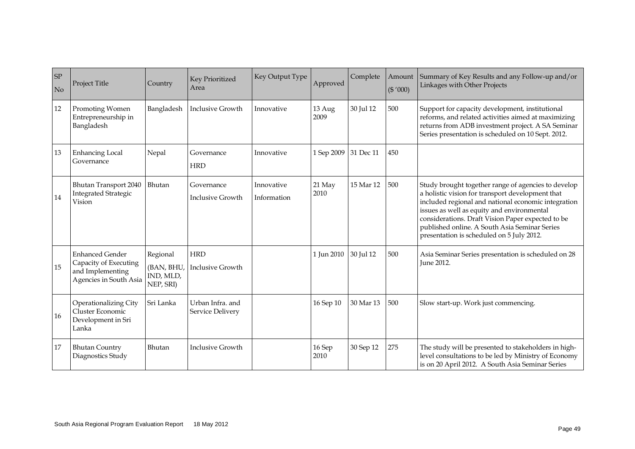| <b>SP</b><br>No | Project Title                                                                                 | Country                                          | Key Prioritized<br>Area               | Key Output Type           | Approved       | Complete  | Amount<br>(\$'000) | Summary of Key Results and any Follow-up and/or<br>Linkages with Other Projects                                                                                                                                                                                                                                                                                 |
|-----------------|-----------------------------------------------------------------------------------------------|--------------------------------------------------|---------------------------------------|---------------------------|----------------|-----------|--------------------|-----------------------------------------------------------------------------------------------------------------------------------------------------------------------------------------------------------------------------------------------------------------------------------------------------------------------------------------------------------------|
| 12              | Promoting Women<br>Entrepreneurship in<br>Bangladesh                                          | Bangladesh                                       | <b>Inclusive Growth</b>               | Innovative                | 13 Aug<br>2009 | 30 Jul 12 | 500                | Support for capacity development, institutional<br>reforms, and related activities aimed at maximizing<br>returns from ADB investment project. A SA Seminar<br>Series presentation is scheduled on 10 Sept. 2012.                                                                                                                                               |
| 13              | <b>Enhancing Local</b><br>Governance                                                          | Nepal                                            | Governance<br><b>HRD</b>              | Innovative                | 1 Sep 2009     | 31 Dec 11 | 450                |                                                                                                                                                                                                                                                                                                                                                                 |
| 14              | Bhutan Transport 2040<br><b>Integrated Strategic</b><br>Vision                                | Bhutan                                           | Governance<br>Inclusive Growth        | Innovative<br>Information | 21 May<br>2010 | 15 Mar 12 | 500                | Study brought together range of agencies to develop<br>a holistic vision for transport development that<br>included regional and national economic integration<br>issues as well as equity and environmental<br>considerations. Draft Vision Paper expected to be<br>published online. A South Asia Seminar Series<br>presentation is scheduled on 5 July 2012. |
| 15              | <b>Enhanced Gender</b><br>Capacity of Executing<br>and Implementing<br>Agencies in South Asia | Regional<br>(BAN, BHU,<br>IND, MLD,<br>NEP, SRI) | <b>HRD</b><br><b>Inclusive Growth</b> |                           | 1 Jun 2010     | 30 Jul 12 | 500                | Asia Seminar Series presentation is scheduled on 28<br><b>June 2012.</b>                                                                                                                                                                                                                                                                                        |
| 16              | Operationalizing City<br>Cluster Economic<br>Development in Sri<br>Lanka                      | Sri Lanka                                        | Urban Infra, and<br>Service Delivery  |                           | 16 Sep 10      | 30 Mar 13 | 500                | Slow start-up. Work just commencing.                                                                                                                                                                                                                                                                                                                            |
| 17              | <b>Bhutan Country</b><br>Diagnostics Study                                                    | Bhutan                                           | <b>Inclusive Growth</b>               |                           | 16 Sep<br>2010 | 30 Sep 12 | 275                | The study will be presented to stakeholders in high-<br>level consultations to be led by Ministry of Economy<br>is on 20 April 2012. A South Asia Seminar Series                                                                                                                                                                                                |